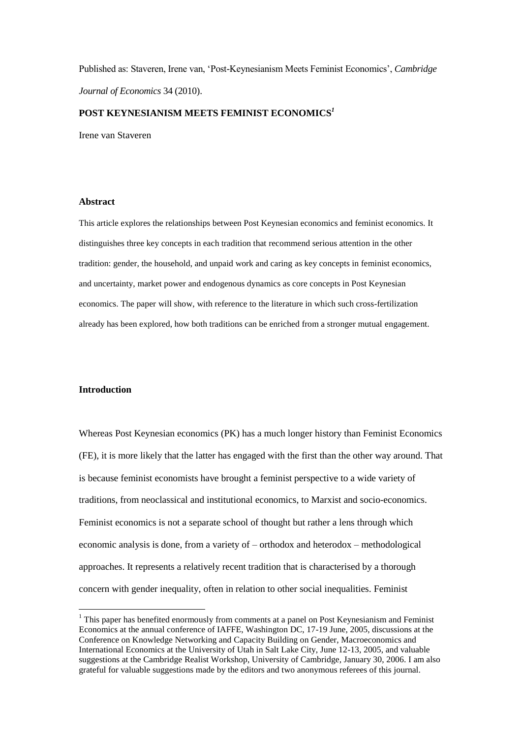Published as: Staveren, Irene van, 'Post-Keynesianism Meets Feminist Economics', *Cambridge Journal of Economics* 34 (2010).

# **POST KEYNESIANISM MEETS FEMINIST ECONOMICS***<sup>1</sup>*

Irene van Staveren

## **Abstract**

This article explores the relationships between Post Keynesian economics and feminist economics. It distinguishes three key concepts in each tradition that recommend serious attention in the other tradition: gender, the household, and unpaid work and caring as key concepts in feminist economics, and uncertainty, market power and endogenous dynamics as core concepts in Post Keynesian economics. The paper will show, with reference to the literature in which such cross-fertilization already has been explored, how both traditions can be enriched from a stronger mutual engagement.

# **Introduction**

1

Whereas Post Keynesian economics (PK) has a much longer history than Feminist Economics (FE), it is more likely that the latter has engaged with the first than the other way around. That is because feminist economists have brought a feminist perspective to a wide variety of traditions, from neoclassical and institutional economics, to Marxist and socio-economics. Feminist economics is not a separate school of thought but rather a lens through which economic analysis is done, from a variety of – orthodox and heterodox – methodological approaches. It represents a relatively recent tradition that is characterised by a thorough concern with gender inequality, often in relation to other social inequalities. Feminist

 $<sup>1</sup>$  This paper has benefited enormously from comments at a panel on Post Keynesianism and Feminist</sup> Economics at the annual conference of IAFFE, Washington DC, 17-19 June, 2005, discussions at the Conference on Knowledge Networking and Capacity Building on Gender, Macroeconomics and International Economics at the University of Utah in Salt Lake City, June 12-13, 2005, and valuable suggestions at the Cambridge Realist Workshop, University of Cambridge, January 30, 2006. I am also grateful for valuable suggestions made by the editors and two anonymous referees of this journal.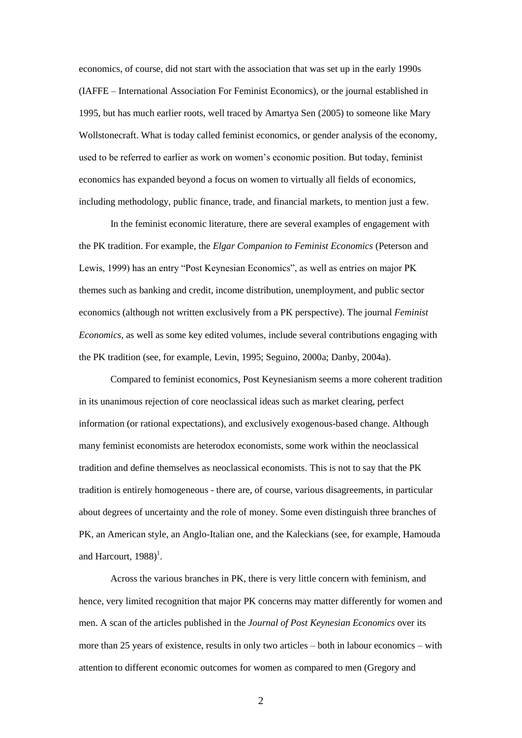economics, of course, did not start with the association that was set up in the early 1990s (IAFFE – International Association For Feminist Economics), or the journal established in 1995, but has much earlier roots, well traced by Amartya Sen (2005) to someone like Mary Wollstonecraft. What is today called feminist economics, or gender analysis of the economy, used to be referred to earlier as work on women's economic position. But today, feminist economics has expanded beyond a focus on women to virtually all fields of economics, including methodology, public finance, trade, and financial markets, to mention just a few.

In the feminist economic literature, there are several examples of engagement with the PK tradition. For example, the *Elgar Companion to Feminist Economics* (Peterson and Lewis, 1999) has an entry "Post Keynesian Economics", as well as entries on major PK themes such as banking and credit, income distribution, unemployment, and public sector economics (although not written exclusively from a PK perspective). The journal *Feminist Economics*, as well as some key edited volumes, include several contributions engaging with the PK tradition (see, for example, Levin, 1995; Seguino, 2000a; Danby, 2004a).

Compared to feminist economics, Post Keynesianism seems a more coherent tradition in its unanimous rejection of core neoclassical ideas such as market clearing, perfect information (or rational expectations), and exclusively exogenous-based change. Although many feminist economists are heterodox economists, some work within the neoclassical tradition and define themselves as neoclassical economists. This is not to say that the PK tradition is entirely homogeneous - there are, of course, various disagreements, in particular about degrees of uncertainty and the role of money. Some even distinguish three branches of PK, an American style, an Anglo-Italian one, and the Kaleckians (see, for example, Hamouda and Harcourt,  $1988$ <sup>1</sup>.

Across the various branches in PK, there is very little concern with feminism, and hence, very limited recognition that major PK concerns may matter differently for women and men. A scan of the articles published in the *Journal of Post Keynesian Economics* over its more than 25 years of existence, results in only two articles – both in labour economics – with attention to different economic outcomes for women as compared to men (Gregory and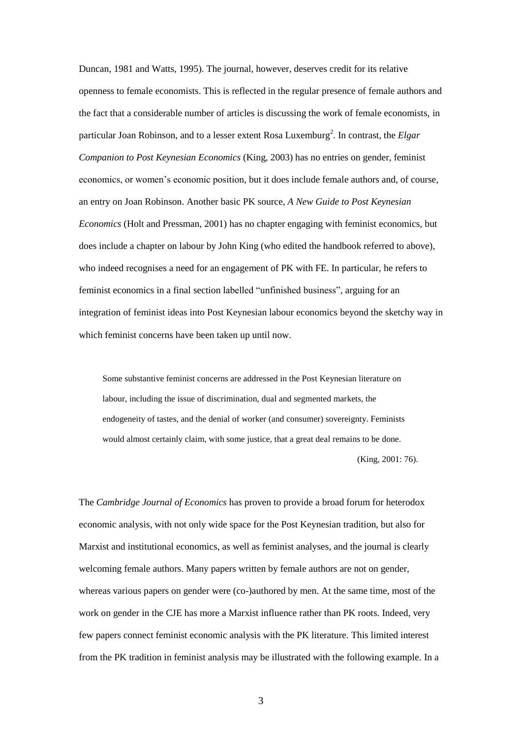Duncan, 1981 and Watts, 1995). The journal, however, deserves credit for its relative openness to female economists. This is reflected in the regular presence of female authors and the fact that a considerable number of articles is discussing the work of female economists, in particular Joan Robinson, and to a lesser extent Rosa Luxemburg<sup>2</sup>. In contrast, the *Elgar Companion to Post Keynesian Economics* (King, 2003) has no entries on gender, feminist economics, or women's economic position, but it does include female authors and, of course, an entry on Joan Robinson. Another basic PK source, *A New Guide to Post Keynesian Economics* (Holt and Pressman, 2001) has no chapter engaging with feminist economics, but does include a chapter on labour by John King (who edited the handbook referred to above), who indeed recognises a need for an engagement of PK with FE. In particular, he refers to feminist economics in a final section labelled "unfinished business", arguing for an integration of feminist ideas into Post Keynesian labour economics beyond the sketchy way in which feminist concerns have been taken up until now.

Some substantive feminist concerns are addressed in the Post Keynesian literature on labour, including the issue of discrimination, dual and segmented markets, the endogeneity of tastes, and the denial of worker (and consumer) sovereignty. Feminists would almost certainly claim, with some justice, that a great deal remains to be done.

(King, 2001: 76).

The *Cambridge Journal of Economics* has proven to provide a broad forum for heterodox economic analysis, with not only wide space for the Post Keynesian tradition, but also for Marxist and institutional economics, as well as feminist analyses, and the journal is clearly welcoming female authors. Many papers written by female authors are not on gender, whereas various papers on gender were (co-)authored by men. At the same time, most of the work on gender in the CJE has more a Marxist influence rather than PK roots. Indeed, very few papers connect feminist economic analysis with the PK literature. This limited interest from the PK tradition in feminist analysis may be illustrated with the following example. In a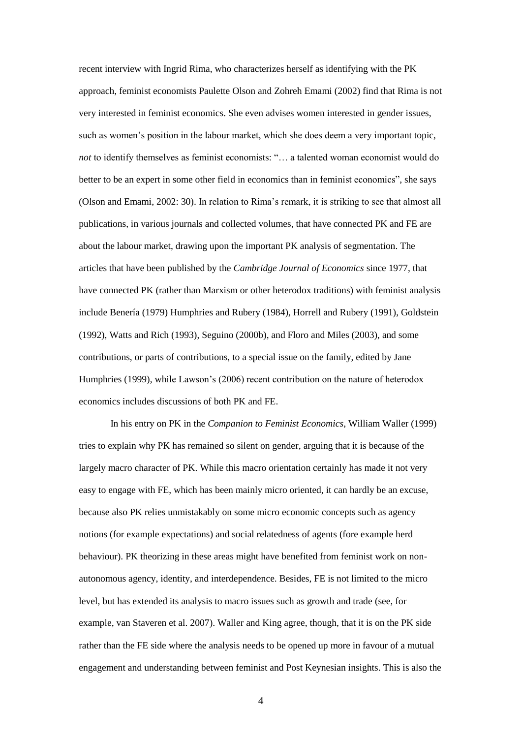recent interview with Ingrid Rima, who characterizes herself as identifying with the PK approach, feminist economists Paulette Olson and Zohreh Emami (2002) find that Rima is not very interested in feminist economics. She even advises women interested in gender issues, such as women's position in the labour market, which she does deem a very important topic, *not* to identify themselves as feminist economists: "… a talented woman economist would do better to be an expert in some other field in economics than in feminist economics", she says (Olson and Emami, 2002: 30). In relation to Rima's remark, it is striking to see that almost all publications, in various journals and collected volumes, that have connected PK and FE are about the labour market, drawing upon the important PK analysis of segmentation. The articles that have been published by the *Cambridge Journal of Economics* since 1977, that have connected PK (rather than Marxism or other heterodox traditions) with feminist analysis include Benería (1979) Humphries and Rubery (1984), Horrell and Rubery (1991), Goldstein (1992), Watts and Rich (1993), Seguino (2000b), and Floro and Miles (2003), and some contributions, or parts of contributions, to a special issue on the family, edited by Jane Humphries (1999), while Lawson's (2006) recent contribution on the nature of heterodox economics includes discussions of both PK and FE.

In his entry on PK in the *Companion to Feminist Economics*, William Waller (1999) tries to explain why PK has remained so silent on gender, arguing that it is because of the largely macro character of PK. While this macro orientation certainly has made it not very easy to engage with FE, which has been mainly micro oriented, it can hardly be an excuse, because also PK relies unmistakably on some micro economic concepts such as agency notions (for example expectations) and social relatedness of agents (fore example herd behaviour). PK theorizing in these areas might have benefited from feminist work on nonautonomous agency, identity, and interdependence. Besides, FE is not limited to the micro level, but has extended its analysis to macro issues such as growth and trade (see, for example, van Staveren et al. 2007). Waller and King agree, though, that it is on the PK side rather than the FE side where the analysis needs to be opened up more in favour of a mutual engagement and understanding between feminist and Post Keynesian insights. This is also the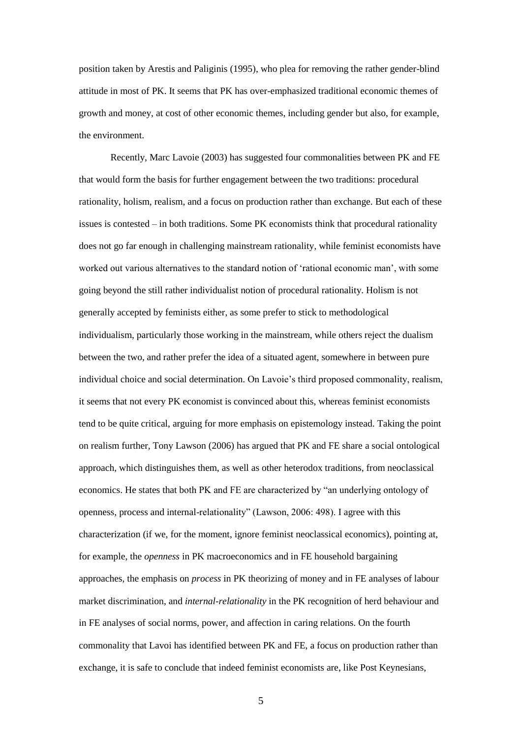position taken by Arestis and Paliginis (1995), who plea for removing the rather gender-blind attitude in most of PK. It seems that PK has over-emphasized traditional economic themes of growth and money, at cost of other economic themes, including gender but also, for example, the environment.

Recently, Marc Lavoie (2003) has suggested four commonalities between PK and FE that would form the basis for further engagement between the two traditions: procedural rationality, holism, realism, and a focus on production rather than exchange. But each of these issues is contested – in both traditions. Some PK economists think that procedural rationality does not go far enough in challenging mainstream rationality, while feminist economists have worked out various alternatives to the standard notion of 'rational economic man', with some going beyond the still rather individualist notion of procedural rationality. Holism is not generally accepted by feminists either, as some prefer to stick to methodological individualism, particularly those working in the mainstream, while others reject the dualism between the two, and rather prefer the idea of a situated agent, somewhere in between pure individual choice and social determination. On Lavoie's third proposed commonality, realism, it seems that not every PK economist is convinced about this, whereas feminist economists tend to be quite critical, arguing for more emphasis on epistemology instead. Taking the point on realism further, Tony Lawson (2006) has argued that PK and FE share a social ontological approach, which distinguishes them, as well as other heterodox traditions, from neoclassical economics. He states that both PK and FE are characterized by "an underlying ontology of openness, process and internal-relationality" (Lawson, 2006: 498). I agree with this characterization (if we, for the moment, ignore feminist neoclassical economics), pointing at, for example, the *openness* in PK macroeconomics and in FE household bargaining approaches, the emphasis on *process* in PK theorizing of money and in FE analyses of labour market discrimination, and *internal-relationality* in the PK recognition of herd behaviour and in FE analyses of social norms, power, and affection in caring relations. On the fourth commonality that Lavoi has identified between PK and FE, a focus on production rather than exchange, it is safe to conclude that indeed feminist economists are, like Post Keynesians,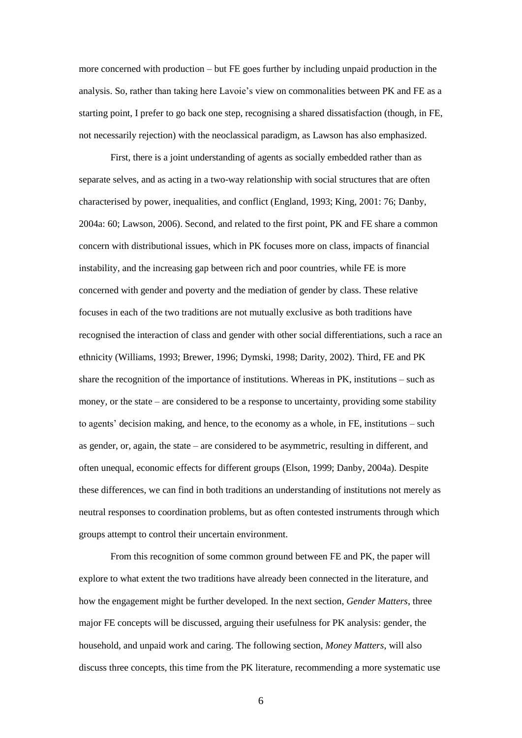more concerned with production – but FE goes further by including unpaid production in the analysis. So, rather than taking here Lavoie's view on commonalities between PK and FE as a starting point, I prefer to go back one step, recognising a shared dissatisfaction (though, in FE, not necessarily rejection) with the neoclassical paradigm, as Lawson has also emphasized.

First, there is a joint understanding of agents as socially embedded rather than as separate selves, and as acting in a two-way relationship with social structures that are often characterised by power, inequalities, and conflict (England, 1993; King, 2001: 76; Danby, 2004a: 60; Lawson, 2006). Second, and related to the first point, PK and FE share a common concern with distributional issues, which in PK focuses more on class, impacts of financial instability, and the increasing gap between rich and poor countries, while FE is more concerned with gender and poverty and the mediation of gender by class. These relative focuses in each of the two traditions are not mutually exclusive as both traditions have recognised the interaction of class and gender with other social differentiations, such a race an ethnicity (Williams, 1993; Brewer, 1996; Dymski, 1998; Darity, 2002). Third, FE and PK share the recognition of the importance of institutions. Whereas in PK, institutions – such as money, or the state – are considered to be a response to uncertainty, providing some stability to agents' decision making, and hence, to the economy as a whole, in FE, institutions – such as gender, or, again, the state – are considered to be asymmetric, resulting in different, and often unequal, economic effects for different groups (Elson, 1999; Danby, 2004a). Despite these differences, we can find in both traditions an understanding of institutions not merely as neutral responses to coordination problems, but as often contested instruments through which groups attempt to control their uncertain environment.

From this recognition of some common ground between FE and PK, the paper will explore to what extent the two traditions have already been connected in the literature, and how the engagement might be further developed. In the next section, *Gender Matters*, three major FE concepts will be discussed, arguing their usefulness for PK analysis: gender, the household, and unpaid work and caring. The following section, *Money Matters*, will also discuss three concepts, this time from the PK literature, recommending a more systematic use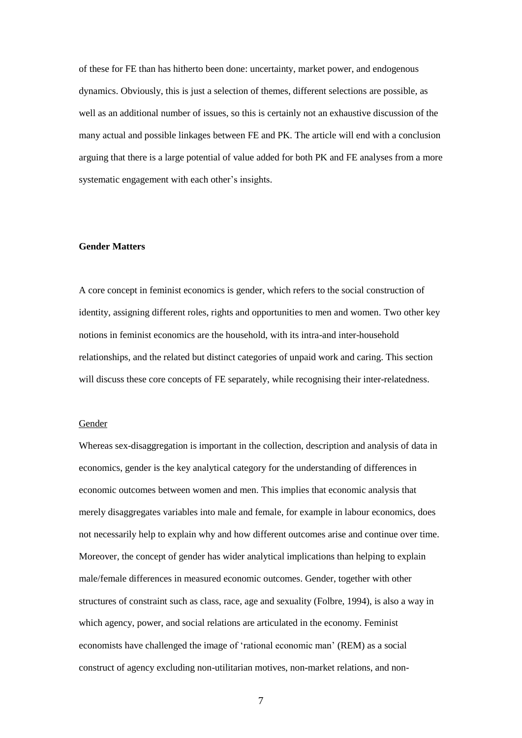of these for FE than has hitherto been done: uncertainty, market power, and endogenous dynamics. Obviously, this is just a selection of themes, different selections are possible, as well as an additional number of issues, so this is certainly not an exhaustive discussion of the many actual and possible linkages between FE and PK. The article will end with a conclusion arguing that there is a large potential of value added for both PK and FE analyses from a more systematic engagement with each other's insights.

# **Gender Matters**

A core concept in feminist economics is gender, which refers to the social construction of identity, assigning different roles, rights and opportunities to men and women. Two other key notions in feminist economics are the household, with its intra-and inter-household relationships, and the related but distinct categories of unpaid work and caring. This section will discuss these core concepts of FE separately, while recognising their inter-relatedness.

#### **Gender**

Whereas sex-disaggregation is important in the collection, description and analysis of data in economics, gender is the key analytical category for the understanding of differences in economic outcomes between women and men. This implies that economic analysis that merely disaggregates variables into male and female, for example in labour economics, does not necessarily help to explain why and how different outcomes arise and continue over time. Moreover, the concept of gender has wider analytical implications than helping to explain male/female differences in measured economic outcomes. Gender, together with other structures of constraint such as class, race, age and sexuality (Folbre, 1994), is also a way in which agency, power, and social relations are articulated in the economy. Feminist economists have challenged the image of 'rational economic man' (REM) as a social construct of agency excluding non-utilitarian motives, non-market relations, and non-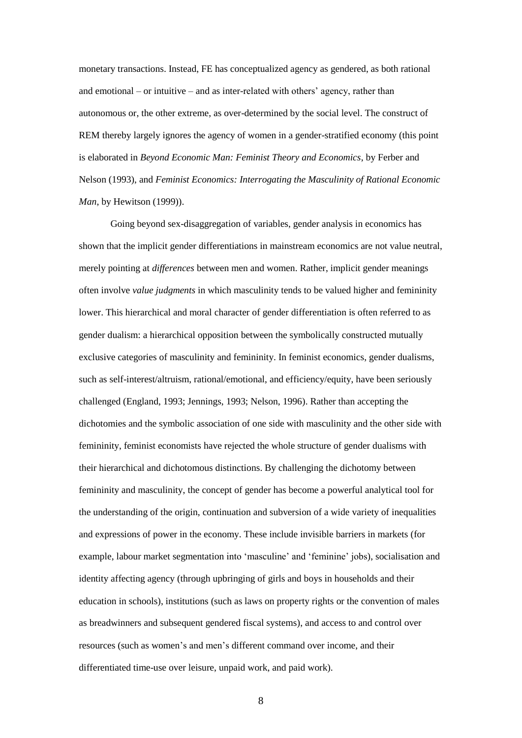monetary transactions. Instead, FE has conceptualized agency as gendered, as both rational and emotional – or intuitive – and as inter-related with others' agency, rather than autonomous or, the other extreme, as over-determined by the social level. The construct of REM thereby largely ignores the agency of women in a gender-stratified economy (this point is elaborated in *Beyond Economic Man: Feminist Theory and Economics*, by Ferber and Nelson (1993), and *Feminist Economics: Interrogating the Masculinity of Rational Economic Man*, by Hewitson (1999)).

Going beyond sex-disaggregation of variables, gender analysis in economics has shown that the implicit gender differentiations in mainstream economics are not value neutral, merely pointing at *differences* between men and women. Rather, implicit gender meanings often involve *value judgments* in which masculinity tends to be valued higher and femininity lower. This hierarchical and moral character of gender differentiation is often referred to as gender dualism: a hierarchical opposition between the symbolically constructed mutually exclusive categories of masculinity and femininity. In feminist economics, gender dualisms, such as self-interest/altruism, rational/emotional, and efficiency/equity, have been seriously challenged (England, 1993; Jennings, 1993; Nelson, 1996). Rather than accepting the dichotomies and the symbolic association of one side with masculinity and the other side with femininity, feminist economists have rejected the whole structure of gender dualisms with their hierarchical and dichotomous distinctions. By challenging the dichotomy between femininity and masculinity, the concept of gender has become a powerful analytical tool for the understanding of the origin, continuation and subversion of a wide variety of inequalities and expressions of power in the economy. These include invisible barriers in markets (for example, labour market segmentation into 'masculine' and 'feminine' jobs), socialisation and identity affecting agency (through upbringing of girls and boys in households and their education in schools), institutions (such as laws on property rights or the convention of males as breadwinners and subsequent gendered fiscal systems), and access to and control over resources (such as women's and men's different command over income, and their differentiated time-use over leisure, unpaid work, and paid work).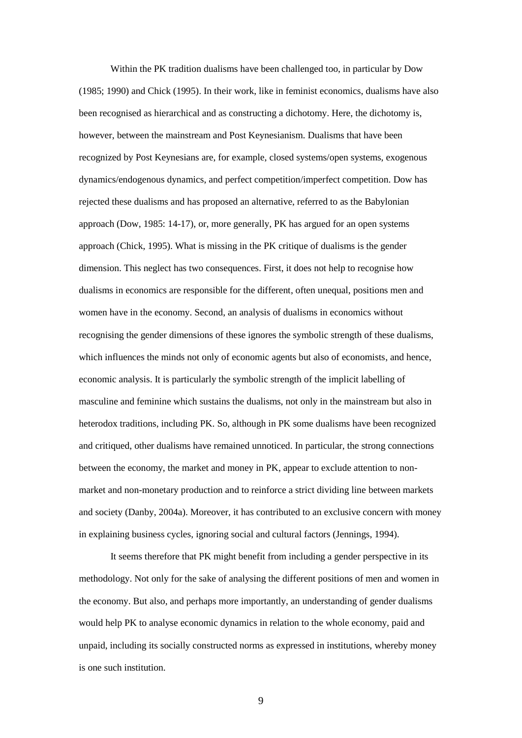Within the PK tradition dualisms have been challenged too, in particular by Dow (1985; 1990) and Chick (1995). In their work, like in feminist economics, dualisms have also been recognised as hierarchical and as constructing a dichotomy. Here, the dichotomy is, however, between the mainstream and Post Keynesianism. Dualisms that have been recognized by Post Keynesians are, for example, closed systems/open systems, exogenous dynamics/endogenous dynamics, and perfect competition/imperfect competition. Dow has rejected these dualisms and has proposed an alternative, referred to as the Babylonian approach (Dow, 1985: 14-17), or, more generally, PK has argued for an open systems approach (Chick, 1995). What is missing in the PK critique of dualisms is the gender dimension. This neglect has two consequences. First, it does not help to recognise how dualisms in economics are responsible for the different, often unequal, positions men and women have in the economy. Second, an analysis of dualisms in economics without recognising the gender dimensions of these ignores the symbolic strength of these dualisms, which influences the minds not only of economic agents but also of economists, and hence, economic analysis. It is particularly the symbolic strength of the implicit labelling of masculine and feminine which sustains the dualisms, not only in the mainstream but also in heterodox traditions, including PK. So, although in PK some dualisms have been recognized and critiqued, other dualisms have remained unnoticed. In particular, the strong connections between the economy, the market and money in PK, appear to exclude attention to nonmarket and non-monetary production and to reinforce a strict dividing line between markets and society (Danby, 2004a). Moreover, it has contributed to an exclusive concern with money in explaining business cycles, ignoring social and cultural factors (Jennings, 1994).

It seems therefore that PK might benefit from including a gender perspective in its methodology. Not only for the sake of analysing the different positions of men and women in the economy. But also, and perhaps more importantly, an understanding of gender dualisms would help PK to analyse economic dynamics in relation to the whole economy, paid and unpaid, including its socially constructed norms as expressed in institutions, whereby money is one such institution.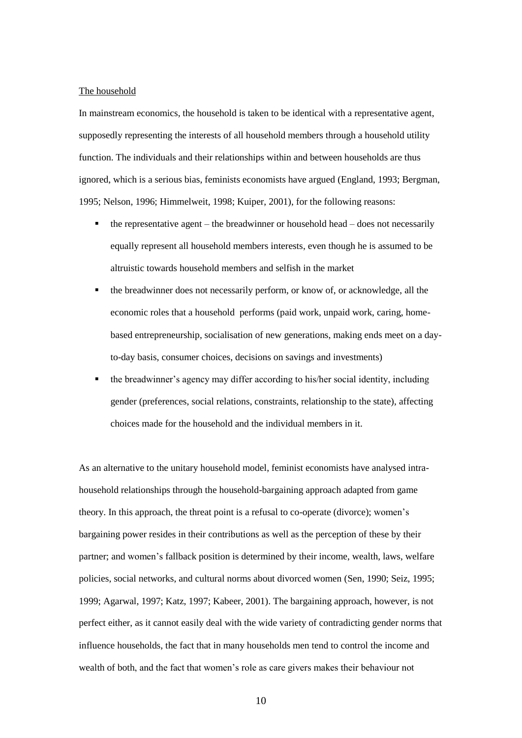#### The household

In mainstream economics, the household is taken to be identical with a representative agent, supposedly representing the interests of all household members through a household utility function. The individuals and their relationships within and between households are thus ignored, which is a serious bias, feminists economists have argued (England, 1993; Bergman, 1995; Nelson, 1996; Himmelweit, 1998; Kuiper, 2001), for the following reasons:

- the representative agent the breadwinner or household head does not necessarily equally represent all household members interests, even though he is assumed to be altruistic towards household members and selfish in the market
- the breadwinner does not necessarily perform, or know of, or acknowledge, all the economic roles that a household performs (paid work, unpaid work, caring, homebased entrepreneurship, socialisation of new generations, making ends meet on a dayto-day basis, consumer choices, decisions on savings and investments)
- the breadwinner's agency may differ according to his/her social identity, including gender (preferences, social relations, constraints, relationship to the state), affecting choices made for the household and the individual members in it.

As an alternative to the unitary household model, feminist economists have analysed intrahousehold relationships through the household-bargaining approach adapted from game theory. In this approach, the threat point is a refusal to co-operate (divorce); women's bargaining power resides in their contributions as well as the perception of these by their partner; and women's fallback position is determined by their income, wealth, laws, welfare policies, social networks, and cultural norms about divorced women (Sen, 1990; Seiz, 1995; 1999; Agarwal, 1997; Katz, 1997; Kabeer, 2001). The bargaining approach, however, is not perfect either, as it cannot easily deal with the wide variety of contradicting gender norms that influence households, the fact that in many households men tend to control the income and wealth of both, and the fact that women's role as care givers makes their behaviour not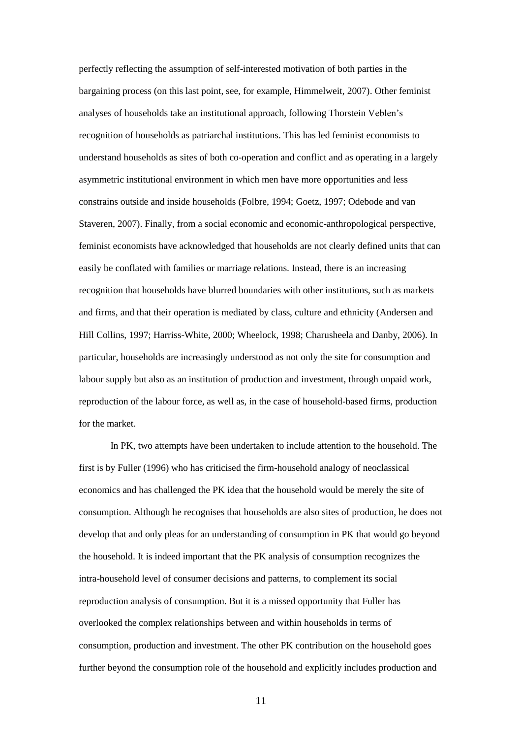perfectly reflecting the assumption of self-interested motivation of both parties in the bargaining process (on this last point, see, for example, Himmelweit, 2007). Other feminist analyses of households take an institutional approach, following Thorstein Veblen's recognition of households as patriarchal institutions. This has led feminist economists to understand households as sites of both co-operation and conflict and as operating in a largely asymmetric institutional environment in which men have more opportunities and less constrains outside and inside households (Folbre, 1994; Goetz, 1997; Odebode and van Staveren, 2007). Finally, from a social economic and economic-anthropological perspective, feminist economists have acknowledged that households are not clearly defined units that can easily be conflated with families or marriage relations. Instead, there is an increasing recognition that households have blurred boundaries with other institutions, such as markets and firms, and that their operation is mediated by class, culture and ethnicity (Andersen and Hill Collins, 1997; Harriss-White, 2000; Wheelock, 1998; Charusheela and Danby, 2006). In particular, households are increasingly understood as not only the site for consumption and labour supply but also as an institution of production and investment, through unpaid work, reproduction of the labour force, as well as, in the case of household-based firms, production for the market.

In PK, two attempts have been undertaken to include attention to the household. The first is by Fuller (1996) who has criticised the firm-household analogy of neoclassical economics and has challenged the PK idea that the household would be merely the site of consumption. Although he recognises that households are also sites of production, he does not develop that and only pleas for an understanding of consumption in PK that would go beyond the household. It is indeed important that the PK analysis of consumption recognizes the intra-household level of consumer decisions and patterns, to complement its social reproduction analysis of consumption. But it is a missed opportunity that Fuller has overlooked the complex relationships between and within households in terms of consumption, production and investment. The other PK contribution on the household goes further beyond the consumption role of the household and explicitly includes production and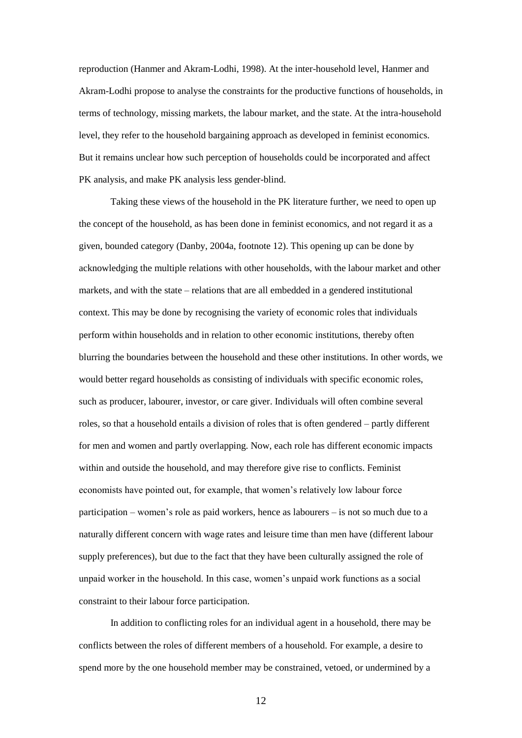reproduction (Hanmer and Akram-Lodhi, 1998). At the inter-household level, Hanmer and Akram-Lodhi propose to analyse the constraints for the productive functions of households, in terms of technology, missing markets, the labour market, and the state. At the intra-household level, they refer to the household bargaining approach as developed in feminist economics. But it remains unclear how such perception of households could be incorporated and affect PK analysis, and make PK analysis less gender-blind.

Taking these views of the household in the PK literature further, we need to open up the concept of the household, as has been done in feminist economics, and not regard it as a given, bounded category (Danby, 2004a, footnote 12). This opening up can be done by acknowledging the multiple relations with other households, with the labour market and other markets, and with the state – relations that are all embedded in a gendered institutional context. This may be done by recognising the variety of economic roles that individuals perform within households and in relation to other economic institutions, thereby often blurring the boundaries between the household and these other institutions. In other words, we would better regard households as consisting of individuals with specific economic roles, such as producer, labourer, investor, or care giver. Individuals will often combine several roles, so that a household entails a division of roles that is often gendered – partly different for men and women and partly overlapping. Now, each role has different economic impacts within and outside the household, and may therefore give rise to conflicts. Feminist economists have pointed out, for example, that women's relatively low labour force participation – women's role as paid workers, hence as labourers – is not so much due to a naturally different concern with wage rates and leisure time than men have (different labour supply preferences), but due to the fact that they have been culturally assigned the role of unpaid worker in the household. In this case, women's unpaid work functions as a social constraint to their labour force participation.

In addition to conflicting roles for an individual agent in a household, there may be conflicts between the roles of different members of a household. For example, a desire to spend more by the one household member may be constrained, vetoed, or undermined by a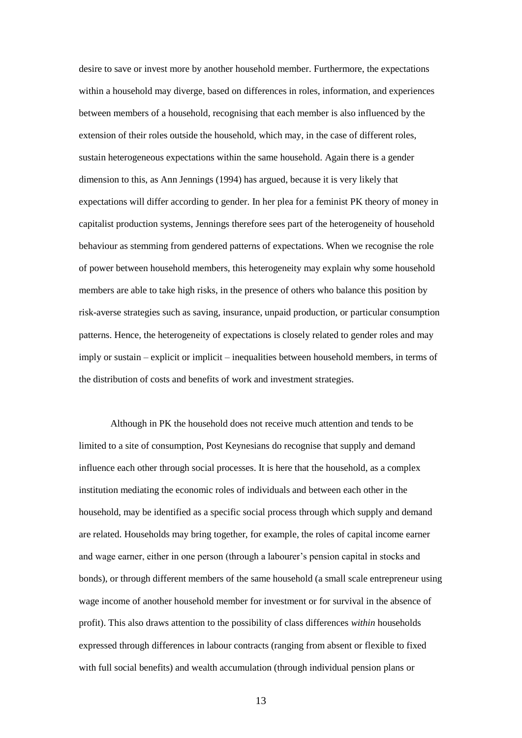desire to save or invest more by another household member. Furthermore, the expectations within a household may diverge, based on differences in roles, information, and experiences between members of a household, recognising that each member is also influenced by the extension of their roles outside the household, which may, in the case of different roles, sustain heterogeneous expectations within the same household. Again there is a gender dimension to this, as Ann Jennings (1994) has argued, because it is very likely that expectations will differ according to gender. In her plea for a feminist PK theory of money in capitalist production systems, Jennings therefore sees part of the heterogeneity of household behaviour as stemming from gendered patterns of expectations. When we recognise the role of power between household members, this heterogeneity may explain why some household members are able to take high risks, in the presence of others who balance this position by risk-averse strategies such as saving, insurance, unpaid production, or particular consumption patterns. Hence, the heterogeneity of expectations is closely related to gender roles and may imply or sustain – explicit or implicit – inequalities between household members, in terms of the distribution of costs and benefits of work and investment strategies.

Although in PK the household does not receive much attention and tends to be limited to a site of consumption, Post Keynesians do recognise that supply and demand influence each other through social processes. It is here that the household, as a complex institution mediating the economic roles of individuals and between each other in the household, may be identified as a specific social process through which supply and demand are related. Households may bring together, for example, the roles of capital income earner and wage earner, either in one person (through a labourer's pension capital in stocks and bonds), or through different members of the same household (a small scale entrepreneur using wage income of another household member for investment or for survival in the absence of profit). This also draws attention to the possibility of class differences *within* households expressed through differences in labour contracts (ranging from absent or flexible to fixed with full social benefits) and wealth accumulation (through individual pension plans or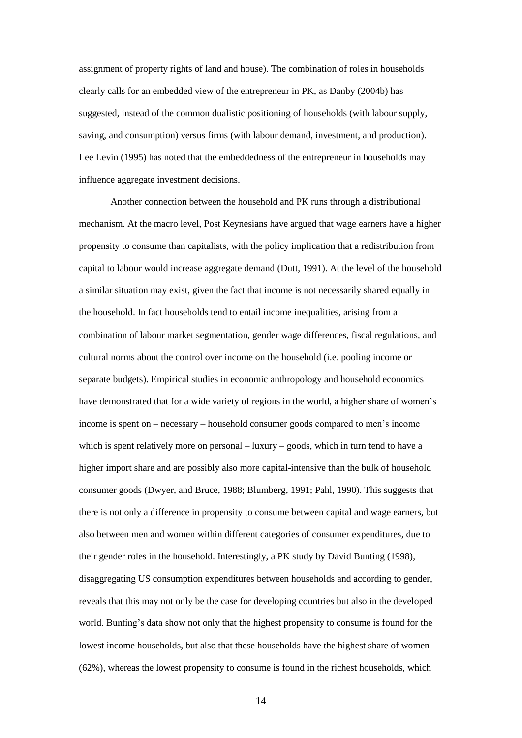assignment of property rights of land and house). The combination of roles in households clearly calls for an embedded view of the entrepreneur in PK, as Danby (2004b) has suggested, instead of the common dualistic positioning of households (with labour supply, saving, and consumption) versus firms (with labour demand, investment, and production). Lee Levin (1995) has noted that the embeddedness of the entrepreneur in households may influence aggregate investment decisions.

Another connection between the household and PK runs through a distributional mechanism. At the macro level, Post Keynesians have argued that wage earners have a higher propensity to consume than capitalists, with the policy implication that a redistribution from capital to labour would increase aggregate demand (Dutt, 1991). At the level of the household a similar situation may exist, given the fact that income is not necessarily shared equally in the household. In fact households tend to entail income inequalities, arising from a combination of labour market segmentation, gender wage differences, fiscal regulations, and cultural norms about the control over income on the household (i.e. pooling income or separate budgets). Empirical studies in economic anthropology and household economics have demonstrated that for a wide variety of regions in the world, a higher share of women's income is spent on – necessary – household consumer goods compared to men's income which is spent relatively more on personal – luxury – goods, which in turn tend to have a higher import share and are possibly also more capital-intensive than the bulk of household consumer goods (Dwyer, and Bruce, 1988; Blumberg, 1991; Pahl, 1990). This suggests that there is not only a difference in propensity to consume between capital and wage earners, but also between men and women within different categories of consumer expenditures, due to their gender roles in the household. Interestingly, a PK study by David Bunting (1998), disaggregating US consumption expenditures between households and according to gender, reveals that this may not only be the case for developing countries but also in the developed world. Bunting's data show not only that the highest propensity to consume is found for the lowest income households, but also that these households have the highest share of women (62%), whereas the lowest propensity to consume is found in the richest households, which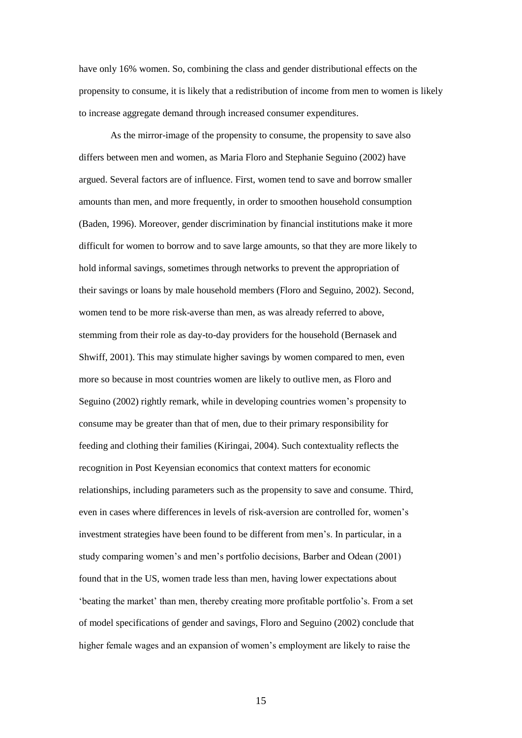have only 16% women. So, combining the class and gender distributional effects on the propensity to consume, it is likely that a redistribution of income from men to women is likely to increase aggregate demand through increased consumer expenditures.

As the mirror-image of the propensity to consume, the propensity to save also differs between men and women, as Maria Floro and Stephanie Seguino (2002) have argued. Several factors are of influence. First, women tend to save and borrow smaller amounts than men, and more frequently, in order to smoothen household consumption (Baden, 1996). Moreover, gender discrimination by financial institutions make it more difficult for women to borrow and to save large amounts, so that they are more likely to hold informal savings, sometimes through networks to prevent the appropriation of their savings or loans by male household members (Floro and Seguino, 2002). Second, women tend to be more risk-averse than men, as was already referred to above, stemming from their role as day-to-day providers for the household (Bernasek and Shwiff, 2001). This may stimulate higher savings by women compared to men, even more so because in most countries women are likely to outlive men, as Floro and Seguino (2002) rightly remark, while in developing countries women's propensity to consume may be greater than that of men, due to their primary responsibility for feeding and clothing their families (Kiringai, 2004). Such contextuality reflects the recognition in Post Keyensian economics that context matters for economic relationships, including parameters such as the propensity to save and consume. Third, even in cases where differences in levels of risk-aversion are controlled for, women's investment strategies have been found to be different from men's. In particular, in a study comparing women's and men's portfolio decisions, Barber and Odean (2001) found that in the US, women trade less than men, having lower expectations about 'beating the market' than men, thereby creating more profitable portfolio's. From a set of model specifications of gender and savings, Floro and Seguino (2002) conclude that higher female wages and an expansion of women's employment are likely to raise the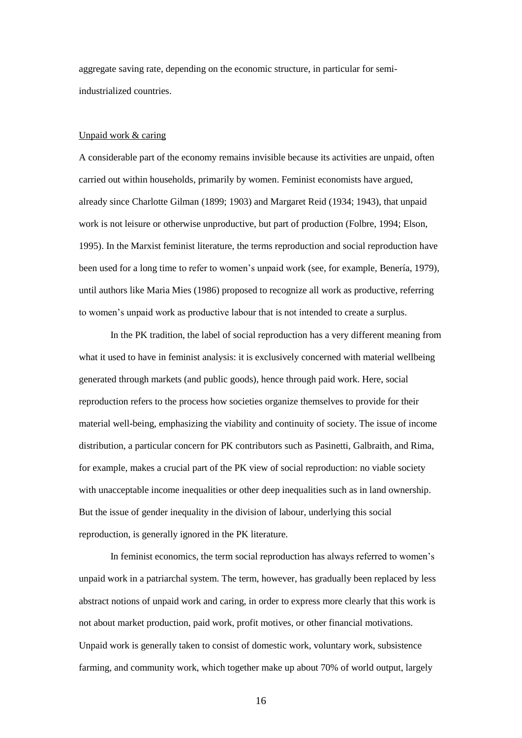aggregate saving rate, depending on the economic structure, in particular for semiindustrialized countries.

### Unpaid work & caring

A considerable part of the economy remains invisible because its activities are unpaid, often carried out within households, primarily by women. Feminist economists have argued, already since Charlotte Gilman (1899; 1903) and Margaret Reid (1934; 1943), that unpaid work is not leisure or otherwise unproductive, but part of production (Folbre, 1994; Elson, 1995). In the Marxist feminist literature, the terms reproduction and social reproduction have been used for a long time to refer to women's unpaid work (see, for example, Benería, 1979), until authors like Maria Mies (1986) proposed to recognize all work as productive, referring to women's unpaid work as productive labour that is not intended to create a surplus.

In the PK tradition, the label of social reproduction has a very different meaning from what it used to have in feminist analysis: it is exclusively concerned with material wellbeing generated through markets (and public goods), hence through paid work. Here, social reproduction refers to the process how societies organize themselves to provide for their material well-being, emphasizing the viability and continuity of society. The issue of income distribution, a particular concern for PK contributors such as Pasinetti, Galbraith, and Rima, for example, makes a crucial part of the PK view of social reproduction: no viable society with unacceptable income inequalities or other deep inequalities such as in land ownership. But the issue of gender inequality in the division of labour, underlying this social reproduction, is generally ignored in the PK literature.

In feminist economics, the term social reproduction has always referred to women's unpaid work in a patriarchal system. The term, however, has gradually been replaced by less abstract notions of unpaid work and caring, in order to express more clearly that this work is not about market production, paid work, profit motives, or other financial motivations. Unpaid work is generally taken to consist of domestic work, voluntary work, subsistence farming, and community work, which together make up about 70% of world output, largely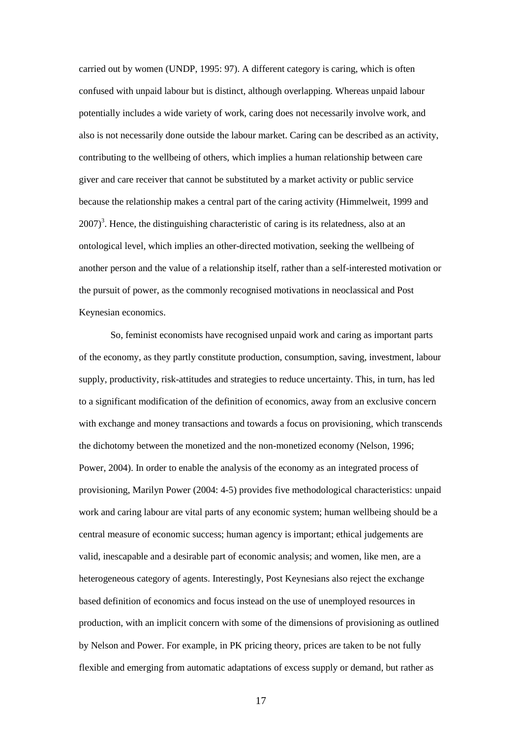carried out by women (UNDP, 1995: 97). A different category is caring, which is often confused with unpaid labour but is distinct, although overlapping. Whereas unpaid labour potentially includes a wide variety of work, caring does not necessarily involve work, and also is not necessarily done outside the labour market. Caring can be described as an activity, contributing to the wellbeing of others, which implies a human relationship between care giver and care receiver that cannot be substituted by a market activity or public service because the relationship makes a central part of the caring activity (Himmelweit, 1999 and  $2007$ <sup>3</sup>. Hence, the distinguishing characteristic of caring is its relatedness, also at an ontological level, which implies an other-directed motivation, seeking the wellbeing of another person and the value of a relationship itself, rather than a self-interested motivation or the pursuit of power, as the commonly recognised motivations in neoclassical and Post Keynesian economics.

So, feminist economists have recognised unpaid work and caring as important parts of the economy, as they partly constitute production, consumption, saving, investment, labour supply, productivity, risk-attitudes and strategies to reduce uncertainty. This, in turn, has led to a significant modification of the definition of economics, away from an exclusive concern with exchange and money transactions and towards a focus on provisioning, which transcends the dichotomy between the monetized and the non-monetized economy (Nelson, 1996; Power, 2004). In order to enable the analysis of the economy as an integrated process of provisioning, Marilyn Power (2004: 4-5) provides five methodological characteristics: unpaid work and caring labour are vital parts of any economic system; human wellbeing should be a central measure of economic success; human agency is important; ethical judgements are valid, inescapable and a desirable part of economic analysis; and women, like men, are a heterogeneous category of agents. Interestingly, Post Keynesians also reject the exchange based definition of economics and focus instead on the use of unemployed resources in production, with an implicit concern with some of the dimensions of provisioning as outlined by Nelson and Power. For example, in PK pricing theory, prices are taken to be not fully flexible and emerging from automatic adaptations of excess supply or demand, but rather as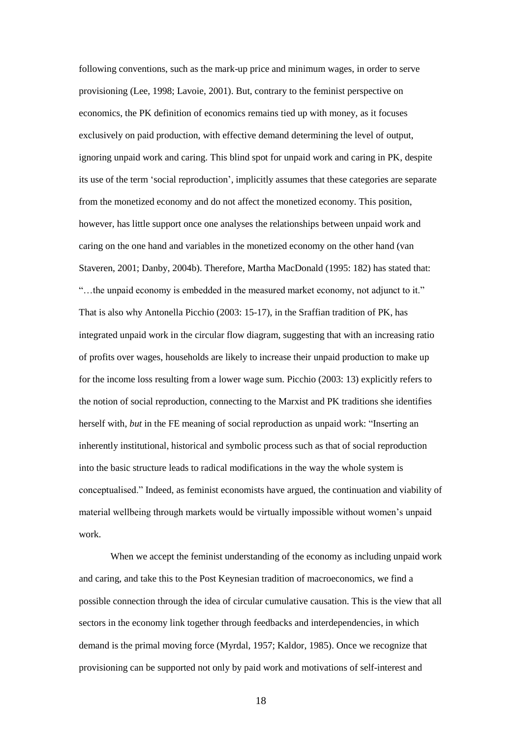following conventions, such as the mark-up price and minimum wages, in order to serve provisioning (Lee, 1998; Lavoie, 2001). But, contrary to the feminist perspective on economics, the PK definition of economics remains tied up with money, as it focuses exclusively on paid production, with effective demand determining the level of output, ignoring unpaid work and caring. This blind spot for unpaid work and caring in PK, despite its use of the term 'social reproduction', implicitly assumes that these categories are separate from the monetized economy and do not affect the monetized economy. This position, however, has little support once one analyses the relationships between unpaid work and caring on the one hand and variables in the monetized economy on the other hand (van Staveren, 2001; Danby, 2004b). Therefore, Martha MacDonald (1995: 182) has stated that: "…the unpaid economy is embedded in the measured market economy, not adjunct to it." That is also why Antonella Picchio (2003: 15-17), in the Sraffian tradition of PK, has integrated unpaid work in the circular flow diagram, suggesting that with an increasing ratio of profits over wages, households are likely to increase their unpaid production to make up for the income loss resulting from a lower wage sum. Picchio (2003: 13) explicitly refers to the notion of social reproduction, connecting to the Marxist and PK traditions she identifies herself with, *but* in the FE meaning of social reproduction as unpaid work: "Inserting an inherently institutional, historical and symbolic process such as that of social reproduction into the basic structure leads to radical modifications in the way the whole system is conceptualised." Indeed, as feminist economists have argued, the continuation and viability of material wellbeing through markets would be virtually impossible without women's unpaid work.

When we accept the feminist understanding of the economy as including unpaid work and caring, and take this to the Post Keynesian tradition of macroeconomics, we find a possible connection through the idea of circular cumulative causation. This is the view that all sectors in the economy link together through feedbacks and interdependencies, in which demand is the primal moving force (Myrdal, 1957; Kaldor, 1985). Once we recognize that provisioning can be supported not only by paid work and motivations of self-interest and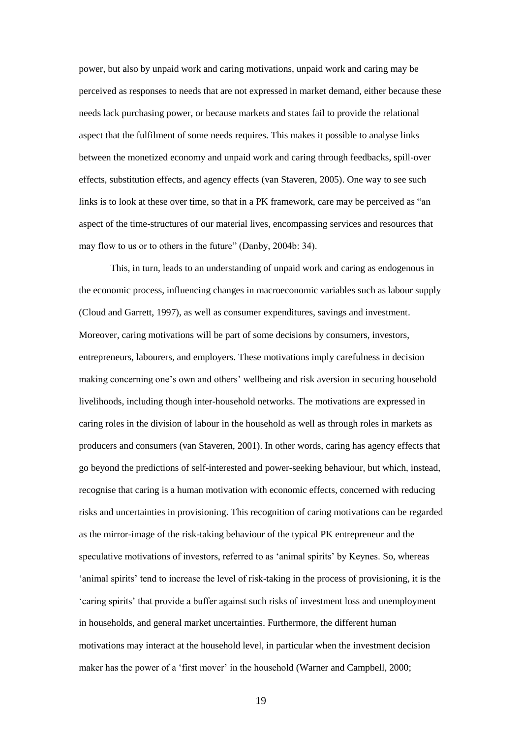power, but also by unpaid work and caring motivations, unpaid work and caring may be perceived as responses to needs that are not expressed in market demand, either because these needs lack purchasing power, or because markets and states fail to provide the relational aspect that the fulfilment of some needs requires. This makes it possible to analyse links between the monetized economy and unpaid work and caring through feedbacks, spill-over effects, substitution effects, and agency effects (van Staveren, 2005). One way to see such links is to look at these over time, so that in a PK framework, care may be perceived as "an aspect of the time-structures of our material lives, encompassing services and resources that may flow to us or to others in the future" (Danby, 2004b: 34).

This, in turn, leads to an understanding of unpaid work and caring as endogenous in the economic process, influencing changes in macroeconomic variables such as labour supply (Cloud and Garrett, 1997), as well as consumer expenditures, savings and investment. Moreover, caring motivations will be part of some decisions by consumers, investors, entrepreneurs, labourers, and employers. These motivations imply carefulness in decision making concerning one's own and others' wellbeing and risk aversion in securing household livelihoods, including though inter-household networks. The motivations are expressed in caring roles in the division of labour in the household as well as through roles in markets as producers and consumers (van Staveren, 2001). In other words, caring has agency effects that go beyond the predictions of self-interested and power-seeking behaviour, but which, instead, recognise that caring is a human motivation with economic effects, concerned with reducing risks and uncertainties in provisioning. This recognition of caring motivations can be regarded as the mirror-image of the risk-taking behaviour of the typical PK entrepreneur and the speculative motivations of investors, referred to as 'animal spirits' by Keynes. So, whereas 'animal spirits' tend to increase the level of risk-taking in the process of provisioning, it is the 'caring spirits' that provide a buffer against such risks of investment loss and unemployment in households, and general market uncertainties. Furthermore, the different human motivations may interact at the household level, in particular when the investment decision maker has the power of a 'first mover' in the household (Warner and Campbell, 2000;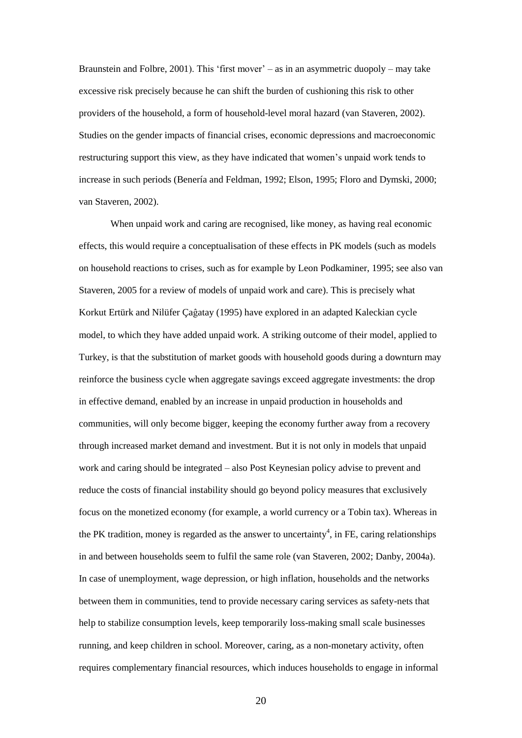Braunstein and Folbre, 2001). This 'first mover' – as in an asymmetric duopoly – may take excessive risk precisely because he can shift the burden of cushioning this risk to other providers of the household, a form of household-level moral hazard (van Staveren, 2002). Studies on the gender impacts of financial crises, economic depressions and macroeconomic restructuring support this view, as they have indicated that women's unpaid work tends to increase in such periods (Benería and Feldman, 1992; Elson, 1995; Floro and Dymski, 2000; van Staveren, 2002).

When unpaid work and caring are recognised, like money, as having real economic effects, this would require a conceptualisation of these effects in PK models (such as models on household reactions to crises, such as for example by Leon Podkaminer, 1995; see also van Staveren, 2005 for a review of models of unpaid work and care). This is precisely what Korkut Ertürk and Nilüfer Çaĝatay (1995) have explored in an adapted Kaleckian cycle model, to which they have added unpaid work. A striking outcome of their model, applied to Turkey, is that the substitution of market goods with household goods during a downturn may reinforce the business cycle when aggregate savings exceed aggregate investments: the drop in effective demand, enabled by an increase in unpaid production in households and communities, will only become bigger, keeping the economy further away from a recovery through increased market demand and investment. But it is not only in models that unpaid work and caring should be integrated – also Post Keynesian policy advise to prevent and reduce the costs of financial instability should go beyond policy measures that exclusively focus on the monetized economy (for example, a world currency or a Tobin tax). Whereas in the PK tradition, money is regarded as the answer to uncertainty<sup>4</sup>, in FE, caring relationships in and between households seem to fulfil the same role (van Staveren, 2002; Danby, 2004a). In case of unemployment, wage depression, or high inflation, households and the networks between them in communities, tend to provide necessary caring services as safety-nets that help to stabilize consumption levels, keep temporarily loss-making small scale businesses running, and keep children in school. Moreover, caring, as a non-monetary activity, often requires complementary financial resources, which induces households to engage in informal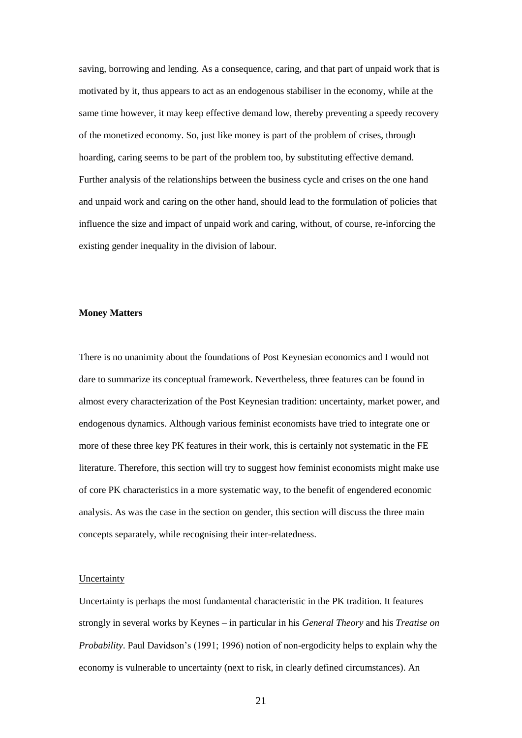saving, borrowing and lending. As a consequence, caring, and that part of unpaid work that is motivated by it, thus appears to act as an endogenous stabiliser in the economy, while at the same time however, it may keep effective demand low, thereby preventing a speedy recovery of the monetized economy. So, just like money is part of the problem of crises, through hoarding, caring seems to be part of the problem too, by substituting effective demand. Further analysis of the relationships between the business cycle and crises on the one hand and unpaid work and caring on the other hand, should lead to the formulation of policies that influence the size and impact of unpaid work and caring, without, of course, re-inforcing the existing gender inequality in the division of labour.

## **Money Matters**

There is no unanimity about the foundations of Post Keynesian economics and I would not dare to summarize its conceptual framework. Nevertheless, three features can be found in almost every characterization of the Post Keynesian tradition: uncertainty, market power, and endogenous dynamics. Although various feminist economists have tried to integrate one or more of these three key PK features in their work, this is certainly not systematic in the FE literature. Therefore, this section will try to suggest how feminist economists might make use of core PK characteristics in a more systematic way, to the benefit of engendered economic analysis. As was the case in the section on gender, this section will discuss the three main concepts separately, while recognising their inter-relatedness.

### **Uncertainty**

Uncertainty is perhaps the most fundamental characteristic in the PK tradition. It features strongly in several works by Keynes – in particular in his *General Theory* and his *Treatise on Probability*. Paul Davidson's (1991; 1996) notion of non-ergodicity helps to explain why the economy is vulnerable to uncertainty (next to risk, in clearly defined circumstances). An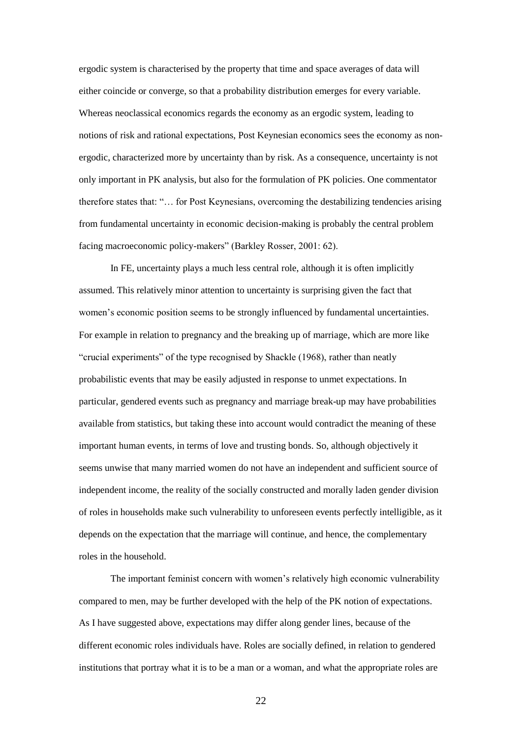ergodic system is characterised by the property that time and space averages of data will either coincide or converge, so that a probability distribution emerges for every variable. Whereas neoclassical economics regards the economy as an ergodic system, leading to notions of risk and rational expectations, Post Keynesian economics sees the economy as nonergodic, characterized more by uncertainty than by risk. As a consequence, uncertainty is not only important in PK analysis, but also for the formulation of PK policies. One commentator therefore states that: "… for Post Keynesians, overcoming the destabilizing tendencies arising from fundamental uncertainty in economic decision-making is probably the central problem facing macroeconomic policy-makers" (Barkley Rosser, 2001: 62).

In FE, uncertainty plays a much less central role, although it is often implicitly assumed. This relatively minor attention to uncertainty is surprising given the fact that women's economic position seems to be strongly influenced by fundamental uncertainties. For example in relation to pregnancy and the breaking up of marriage, which are more like "crucial experiments" of the type recognised by Shackle (1968), rather than neatly probabilistic events that may be easily adjusted in response to unmet expectations. In particular, gendered events such as pregnancy and marriage break-up may have probabilities available from statistics, but taking these into account would contradict the meaning of these important human events, in terms of love and trusting bonds. So, although objectively it seems unwise that many married women do not have an independent and sufficient source of independent income, the reality of the socially constructed and morally laden gender division of roles in households make such vulnerability to unforeseen events perfectly intelligible, as it depends on the expectation that the marriage will continue, and hence, the complementary roles in the household.

The important feminist concern with women's relatively high economic vulnerability compared to men, may be further developed with the help of the PK notion of expectations. As I have suggested above, expectations may differ along gender lines, because of the different economic roles individuals have. Roles are socially defined, in relation to gendered institutions that portray what it is to be a man or a woman, and what the appropriate roles are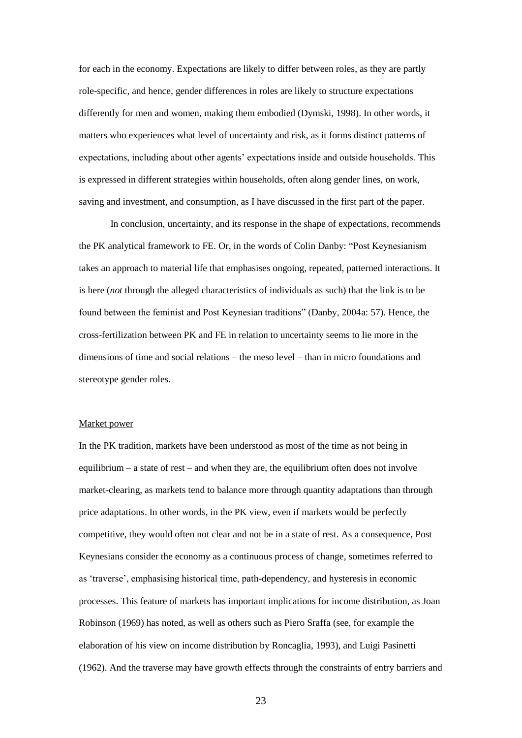for each in the economy. Expectations are likely to differ between roles, as they are partly role-specific, and hence, gender differences in roles are likely to structure expectations differently for men and women, making them embodied (Dymski, 1998). In other words, it matters who experiences what level of uncertainty and risk, as it forms distinct patterns of expectations, including about other agents' expectations inside and outside households. This is expressed in different strategies within households, often along gender lines, on work, saving and investment, and consumption, as I have discussed in the first part of the paper.

In conclusion, uncertainty, and its response in the shape of expectations, recommends the PK analytical framework to FE. Or, in the words of Colin Danby: "Post Keynesianism takes an approach to material life that emphasises ongoing, repeated, patterned interactions. It is here (*not* through the alleged characteristics of individuals as such) that the link is to be found between the feminist and Post Keynesian traditions" (Danby, 2004a: 57). Hence, the cross-fertilization between PK and FE in relation to uncertainty seems to lie more in the dimensions of time and social relations – the meso level – than in micro foundations and stereotype gender roles.

#### Market power

In the PK tradition, markets have been understood as most of the time as not being in equilibrium – a state of rest – and when they are, the equilibrium often does not involve market-clearing, as markets tend to balance more through quantity adaptations than through price adaptations. In other words, in the PK view, even if markets would be perfectly competitive, they would often not clear and not be in a state of rest. As a consequence, Post Keynesians consider the economy as a continuous process of change, sometimes referred to as 'traverse', emphasising historical time, path-dependency, and hysteresis in economic processes. This feature of markets has important implications for income distribution, as Joan Robinson (1969) has noted, as well as others such as Piero Sraffa (see, for example the elaboration of his view on income distribution by Roncaglia, 1993), and Luigi Pasinetti (1962). And the traverse may have growth effects through the constraints of entry barriers and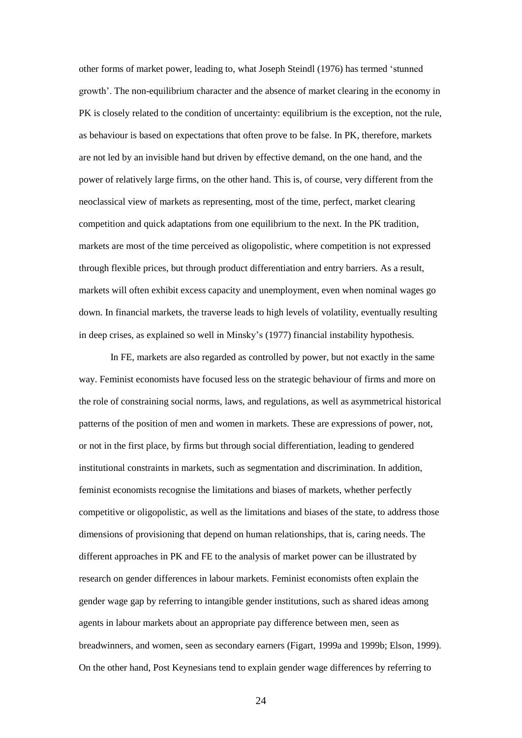other forms of market power, leading to, what Joseph Steindl (1976) has termed 'stunned growth'. The non-equilibrium character and the absence of market clearing in the economy in PK is closely related to the condition of uncertainty: equilibrium is the exception, not the rule, as behaviour is based on expectations that often prove to be false. In PK, therefore, markets are not led by an invisible hand but driven by effective demand, on the one hand, and the power of relatively large firms, on the other hand. This is, of course, very different from the neoclassical view of markets as representing, most of the time, perfect, market clearing competition and quick adaptations from one equilibrium to the next. In the PK tradition, markets are most of the time perceived as oligopolistic, where competition is not expressed through flexible prices, but through product differentiation and entry barriers. As a result, markets will often exhibit excess capacity and unemployment, even when nominal wages go down. In financial markets, the traverse leads to high levels of volatility, eventually resulting in deep crises, as explained so well in Minsky's (1977) financial instability hypothesis.

In FE, markets are also regarded as controlled by power, but not exactly in the same way. Feminist economists have focused less on the strategic behaviour of firms and more on the role of constraining social norms, laws, and regulations, as well as asymmetrical historical patterns of the position of men and women in markets. These are expressions of power, not, or not in the first place, by firms but through social differentiation, leading to gendered institutional constraints in markets, such as segmentation and discrimination. In addition, feminist economists recognise the limitations and biases of markets, whether perfectly competitive or oligopolistic, as well as the limitations and biases of the state, to address those dimensions of provisioning that depend on human relationships, that is, caring needs. The different approaches in PK and FE to the analysis of market power can be illustrated by research on gender differences in labour markets. Feminist economists often explain the gender wage gap by referring to intangible gender institutions, such as shared ideas among agents in labour markets about an appropriate pay difference between men, seen as breadwinners, and women, seen as secondary earners (Figart, 1999a and 1999b; Elson, 1999). On the other hand, Post Keynesians tend to explain gender wage differences by referring to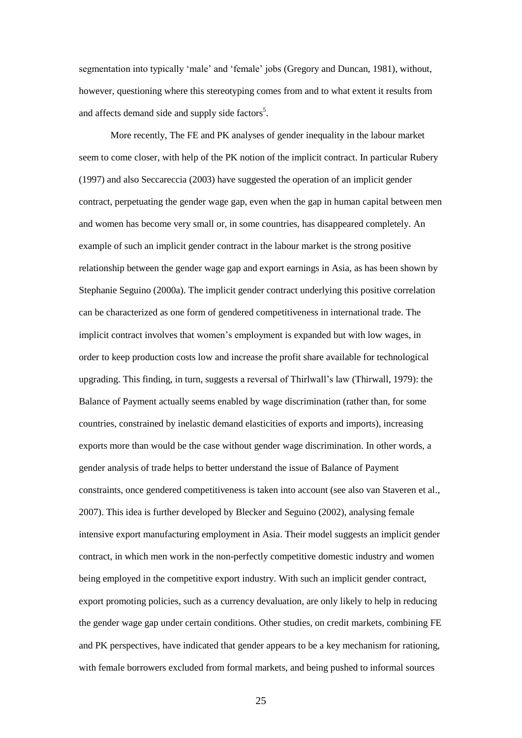segmentation into typically 'male' and 'female' jobs (Gregory and Duncan, 1981), without, however, questioning where this stereotyping comes from and to what extent it results from and affects demand side and supply side factors<sup>5</sup>.

More recently, The FE and PK analyses of gender inequality in the labour market seem to come closer, with help of the PK notion of the implicit contract. In particular Rubery (1997) and also Seccareccia (2003) have suggested the operation of an implicit gender contract, perpetuating the gender wage gap, even when the gap in human capital between men and women has become very small or, in some countries, has disappeared completely. An example of such an implicit gender contract in the labour market is the strong positive relationship between the gender wage gap and export earnings in Asia, as has been shown by Stephanie Seguino (2000a). The implicit gender contract underlying this positive correlation can be characterized as one form of gendered competitiveness in international trade. The implicit contract involves that women's employment is expanded but with low wages, in order to keep production costs low and increase the profit share available for technological upgrading. This finding, in turn, suggests a reversal of Thirlwall's law (Thirwall, 1979): the Balance of Payment actually seems enabled by wage discrimination (rather than, for some countries, constrained by inelastic demand elasticities of exports and imports), increasing exports more than would be the case without gender wage discrimination. In other words, a gender analysis of trade helps to better understand the issue of Balance of Payment constraints, once gendered competitiveness is taken into account (see also van Staveren et al., 2007). This idea is further developed by Blecker and Seguino (2002), analysing female intensive export manufacturing employment in Asia. Their model suggests an implicit gender contract, in which men work in the non-perfectly competitive domestic industry and women being employed in the competitive export industry. With such an implicit gender contract, export promoting policies, such as a currency devaluation, are only likely to help in reducing the gender wage gap under certain conditions. Other studies, on credit markets, combining FE and PK perspectives, have indicated that gender appears to be a key mechanism for rationing, with female borrowers excluded from formal markets, and being pushed to informal sources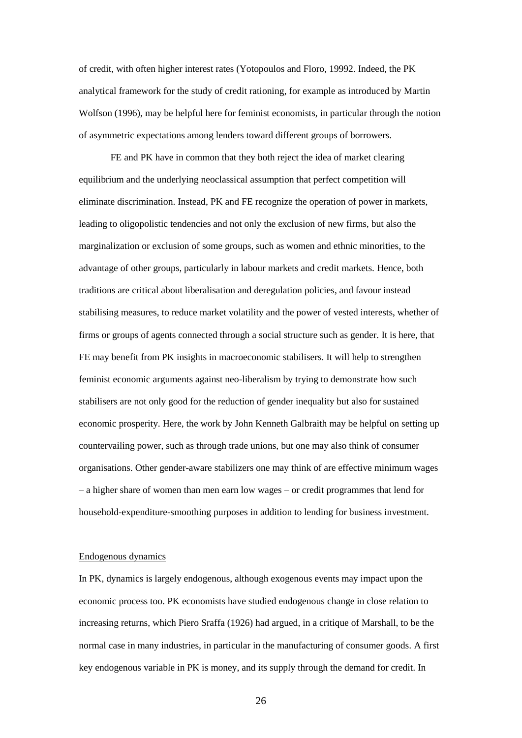of credit, with often higher interest rates (Yotopoulos and Floro, 19992. Indeed, the PK analytical framework for the study of credit rationing, for example as introduced by Martin Wolfson (1996), may be helpful here for feminist economists, in particular through the notion of asymmetric expectations among lenders toward different groups of borrowers.

FE and PK have in common that they both reject the idea of market clearing equilibrium and the underlying neoclassical assumption that perfect competition will eliminate discrimination. Instead, PK and FE recognize the operation of power in markets, leading to oligopolistic tendencies and not only the exclusion of new firms, but also the marginalization or exclusion of some groups, such as women and ethnic minorities, to the advantage of other groups, particularly in labour markets and credit markets. Hence, both traditions are critical about liberalisation and deregulation policies, and favour instead stabilising measures, to reduce market volatility and the power of vested interests, whether of firms or groups of agents connected through a social structure such as gender. It is here, that FE may benefit from PK insights in macroeconomic stabilisers. It will help to strengthen feminist economic arguments against neo-liberalism by trying to demonstrate how such stabilisers are not only good for the reduction of gender inequality but also for sustained economic prosperity. Here, the work by John Kenneth Galbraith may be helpful on setting up countervailing power, such as through trade unions, but one may also think of consumer organisations. Other gender-aware stabilizers one may think of are effective minimum wages – a higher share of women than men earn low wages – or credit programmes that lend for household-expenditure-smoothing purposes in addition to lending for business investment.

## Endogenous dynamics

In PK, dynamics is largely endogenous, although exogenous events may impact upon the economic process too. PK economists have studied endogenous change in close relation to increasing returns, which Piero Sraffa (1926) had argued, in a critique of Marshall, to be the normal case in many industries, in particular in the manufacturing of consumer goods. A first key endogenous variable in PK is money, and its supply through the demand for credit. In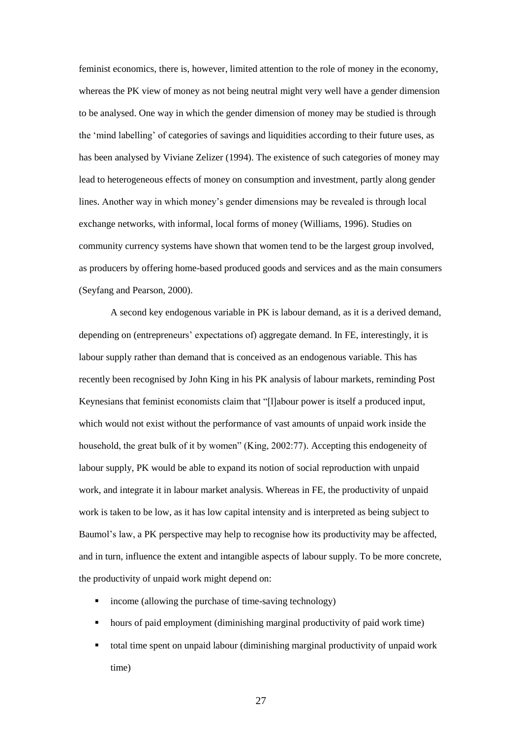feminist economics, there is, however, limited attention to the role of money in the economy, whereas the PK view of money as not being neutral might very well have a gender dimension to be analysed. One way in which the gender dimension of money may be studied is through the 'mind labelling' of categories of savings and liquidities according to their future uses, as has been analysed by Viviane Zelizer (1994). The existence of such categories of money may lead to heterogeneous effects of money on consumption and investment, partly along gender lines. Another way in which money's gender dimensions may be revealed is through local exchange networks, with informal, local forms of money (Williams, 1996). Studies on community currency systems have shown that women tend to be the largest group involved, as producers by offering home-based produced goods and services and as the main consumers (Seyfang and Pearson, 2000).

A second key endogenous variable in PK is labour demand, as it is a derived demand, depending on (entrepreneurs' expectations of) aggregate demand. In FE, interestingly, it is labour supply rather than demand that is conceived as an endogenous variable. This has recently been recognised by John King in his PK analysis of labour markets, reminding Post Keynesians that feminist economists claim that "[l]abour power is itself a produced input, which would not exist without the performance of vast amounts of unpaid work inside the household, the great bulk of it by women" (King, 2002:77). Accepting this endogeneity of labour supply, PK would be able to expand its notion of social reproduction with unpaid work, and integrate it in labour market analysis. Whereas in FE, the productivity of unpaid work is taken to be low, as it has low capital intensity and is interpreted as being subject to Baumol's law, a PK perspective may help to recognise how its productivity may be affected, and in turn, influence the extent and intangible aspects of labour supply. To be more concrete, the productivity of unpaid work might depend on:

- income (allowing the purchase of time-saving technology)
- hours of paid employment (diminishing marginal productivity of paid work time)
- total time spent on unpaid labour (diminishing marginal productivity of unpaid work time)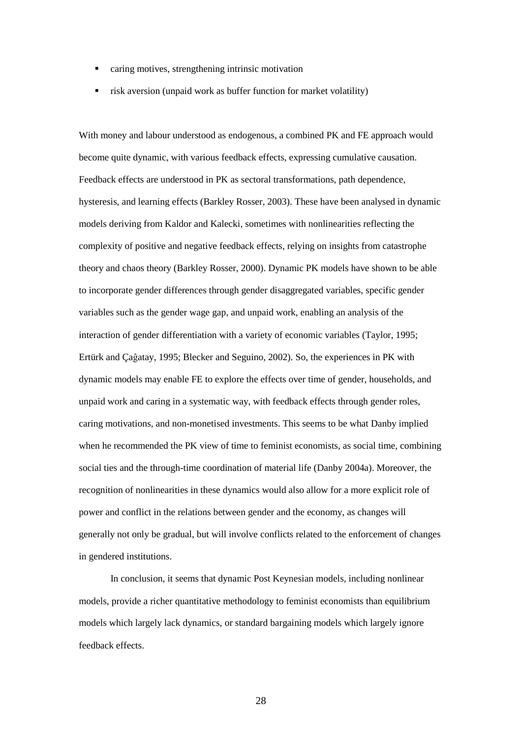- caring motives, strengthening intrinsic motivation
- risk aversion (unpaid work as buffer function for market volatility)

With money and labour understood as endogenous, a combined PK and FE approach would become quite dynamic, with various feedback effects, expressing cumulative causation. Feedback effects are understood in PK as sectoral transformations, path dependence, hysteresis, and learning effects (Barkley Rosser, 2003). These have been analysed in dynamic models deriving from Kaldor and Kalecki, sometimes with nonlinearities reflecting the complexity of positive and negative feedback effects, relying on insights from catastrophe theory and chaos theory (Barkley Rosser, 2000). Dynamic PK models have shown to be able to incorporate gender differences through gender disaggregated variables, specific gender variables such as the gender wage gap, and unpaid work, enabling an analysis of the interaction of gender differentiation with a variety of economic variables (Taylor, 1995; Ertürk and Çaĝatay, 1995; Blecker and Seguino, 2002). So, the experiences in PK with dynamic models may enable FE to explore the effects over time of gender, households, and unpaid work and caring in a systematic way, with feedback effects through gender roles, caring motivations, and non-monetised investments. This seems to be what Danby implied when he recommended the PK view of time to feminist economists, as social time, combining social ties and the through-time coordination of material life (Danby 2004a). Moreover, the recognition of nonlinearities in these dynamics would also allow for a more explicit role of power and conflict in the relations between gender and the economy, as changes will generally not only be gradual, but will involve conflicts related to the enforcement of changes in gendered institutions.

In conclusion, it seems that dynamic Post Keynesian models, including nonlinear models, provide a richer quantitative methodology to feminist economists than equilibrium models which largely lack dynamics, or standard bargaining models which largely ignore feedback effects.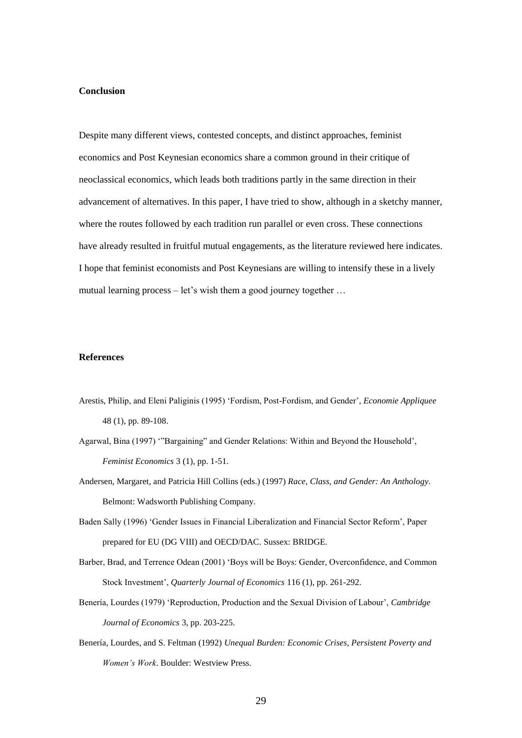# **Conclusion**

Despite many different views, contested concepts, and distinct approaches, feminist economics and Post Keynesian economics share a common ground in their critique of neoclassical economics, which leads both traditions partly in the same direction in their advancement of alternatives. In this paper, I have tried to show, although in a sketchy manner, where the routes followed by each tradition run parallel or even cross. These connections have already resulted in fruitful mutual engagements, as the literature reviewed here indicates. I hope that feminist economists and Post Keynesians are willing to intensify these in a lively mutual learning process – let's wish them a good journey together ...

## **References**

- Arestis, Philip, and Eleni Paliginis (1995) 'Fordism, Post-Fordism, and Gender', *Economie Appliquee* 48 (1), pp. 89-108.
- Agarwal, Bina (1997) '"Bargaining" and Gender Relations: Within and Beyond the Household', *Feminist Economics* 3 (1), pp. 1-51.
- Andersen, Margaret, and Patricia Hill Collins (eds.) (1997) *Race, Class, and Gender: An Anthology*. Belmont: Wadsworth Publishing Company.
- Baden Sally (1996) 'Gender Issues in Financial Liberalization and Financial Sector Reform', Paper prepared for EU (DG VIII) and OECD/DAC. Sussex: BRIDGE.
- Barber, Brad, and Terrence Odean (2001) 'Boys will be Boys: Gender, Overconfidence, and Common Stock Investment', *Quarterly Journal of Economics* 116 (1), pp. 261-292.
- Benería, Lourdes (1979) 'Reproduction, Production and the Sexual Division of Labour', *Cambridge Journal of Economics* 3, pp. 203-225.
- Benería, Lourdes, and S. Feltman (1992) *Unequal Burden: Economic Crises, Persistent Poverty and Women's Work*. Boulder: Westview Press.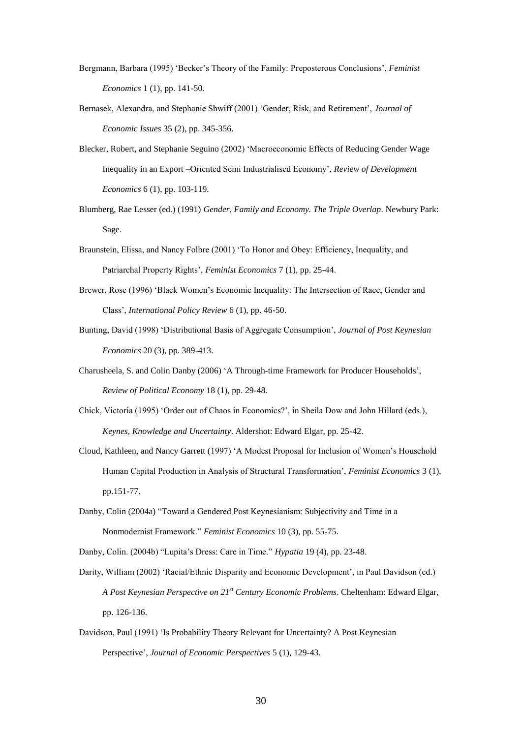- Bergmann, Barbara (1995) 'Becker's Theory of the Family: Preposterous Conclusions', *Feminist Economics* 1 (1), pp. 141-50.
- Bernasek, Alexandra, and Stephanie Shwiff (2001) 'Gender, Risk, and Retirement', *Journal of Economic Issues* 35 (2), pp. 345-356.
- Blecker, Robert, and Stephanie Seguino (2002) 'Macroeconomic Effects of Reducing Gender Wage Inequality in an Export –Oriented Semi Industrialised Economy', *Review of Development Economics* 6 (1), pp. 103-119.
- Blumberg, Rae Lesser (ed.) (1991) *Gender, Family and Economy. The Triple Overlap*. Newbury Park: Sage.
- Braunstein, Elissa, and Nancy Folbre (2001) 'To Honor and Obey: Efficiency, Inequality, and Patriarchal Property Rights', *Feminist Economics* 7 (1), pp. 25-44.
- Brewer, Rose (1996) 'Black Women's Economic Inequality: The Intersection of Race, Gender and Class', *International Policy Review* 6 (1), pp. 46-50.
- Bunting, David (1998) 'Distributional Basis of Aggregate Consumption', *Journal of Post Keynesian Economics* 20 (3), pp. 389-413.
- Charusheela, S. and Colin Danby (2006) 'A Through-time Framework for Producer Households', *Review of Political Economy* 18 (1), pp. 29-48.
- Chick, Victoria (1995) 'Order out of Chaos in Economics?', in Sheila Dow and John Hillard (eds.), *Keynes, Knowledge and Uncertainty*. Aldershot: Edward Elgar, pp. 25-42.
- Cloud, Kathleen, and Nancy Garrett (1997) 'A Modest Proposal for Inclusion of Women's Household Human Capital Production in Analysis of Structural Transformation', *Feminist Economics* 3 (1), pp.151-77.
- Danby, Colin (2004a) "Toward a Gendered Post Keynesianism: Subjectivity and Time in a Nonmodernist Framework." *Feminist Economics* 10 (3), pp. 55-75.
- Danby, Colin. (2004b) "Lupita's Dress: Care in Time." *Hypatia* 19 (4), pp. 23-48.
- Darity, William (2002) 'Racial/Ethnic Disparity and Economic Development', in Paul Davidson (ed.) *A Post Keynesian Perspective on 21st Century Economic Problems*. Cheltenham: Edward Elgar, pp. 126-136.
- Davidson, Paul (1991) 'Is Probability Theory Relevant for Uncertainty? A Post Keynesian Perspective', *Journal of Economic Perspectives* 5 (1), 129-43.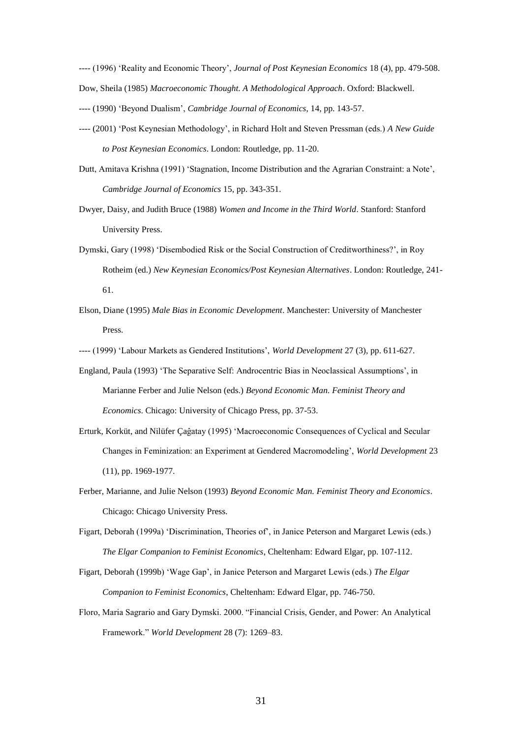---- (1996) 'Reality and Economic Theory', *Journal of Post Keynesian Economics* 18 (4), pp. 479-508. Dow, Sheila (1985) *Macroeconomic Thought. A Methodological Approach*. Oxford: Blackwell.

- ---- (1990) 'Beyond Dualism', *Cambridge Journal of Economics*, 14, pp. 143-57.
- ---- (2001) 'Post Keynesian Methodology', in Richard Holt and Steven Pressman (eds.) *A New Guide to Post Keynesian Economics*. London: Routledge, pp. 11-20.
- Dutt, Amitava Krishna (1991) 'Stagnation, Income Distribution and the Agrarian Constraint: a Note', *Cambridge Journal of Economics* 15, pp. 343-351.
- Dwyer, Daisy, and Judith Bruce (1988) *Women and Income in the Third World*. Stanford: Stanford University Press.
- Dymski, Gary (1998) 'Disembodied Risk or the Social Construction of Creditworthiness?', in Roy Rotheim (ed.) *New Keynesian Economics/Post Keynesian Alternatives*. London: Routledge, 241- 61.
- Elson, Diane (1995) *Male Bias in Economic Development*. Manchester: University of Manchester Press.

---- (1999) 'Labour Markets as Gendered Institutions', *World Development* 27 (3), pp. 611-627.

- England, Paula (1993) 'The Separative Self: Androcentric Bias in Neoclassical Assumptions', in Marianne Ferber and Julie Nelson (eds.) *Beyond Economic Man. Feminist Theory and Economics*. Chicago: University of Chicago Press, pp. 37-53.
- Erturk, Korküt, and Nilüfer Çaĝatay (1995) 'Macroeconomic Consequences of Cyclical and Secular Changes in Feminization: an Experiment at Gendered Macromodeling', *World Development* 23 (11), pp. 1969-1977.
- Ferber, Marianne, and Julie Nelson (1993) *Beyond Economic Man. Feminist Theory and Economics*. Chicago: Chicago University Press.
- Figart, Deborah (1999a) 'Discrimination, Theories of', in Janice Peterson and Margaret Lewis (eds.) *The Elgar Companion to Feminist Economics*, Cheltenham: Edward Elgar, pp. 107-112.
- Figart, Deborah (1999b) 'Wage Gap', in Janice Peterson and Margaret Lewis (eds.) *The Elgar Companion to Feminist Economics*, Cheltenham: Edward Elgar, pp. 746-750.
- Floro, Maria Sagrario and Gary Dymski. 2000. "Financial Crisis, Gender, and Power: An Analytical Framework." *World Development* 28 (7): 1269–83.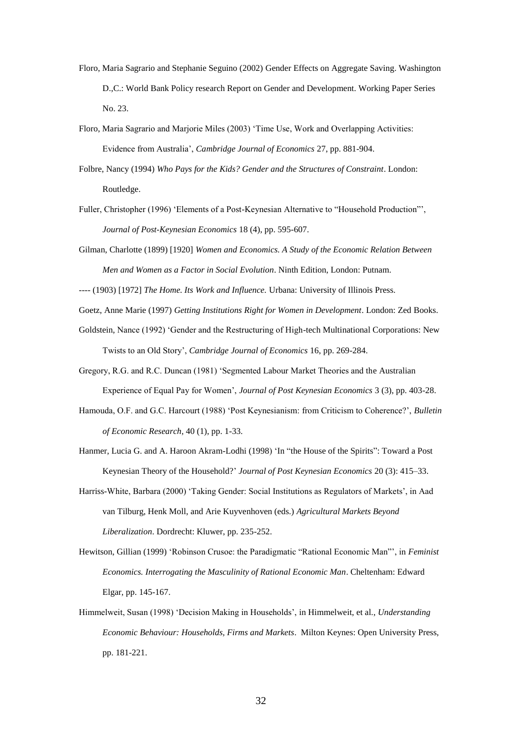- Floro, Maria Sagrario and Stephanie Seguino (2002) Gender Effects on Aggregate Saving. Washington D.,C.: World Bank Policy research Report on Gender and Development. Working Paper Series No. 23.
- Floro, Maria Sagrario and Marjorie Miles (2003) 'Time Use, Work and Overlapping Activities: Evidence from Australia', *Cambridge Journal of Economics* 27, pp. 881-904.
- Folbre, Nancy (1994) *Who Pays for the Kids? Gender and the Structures of Constraint*. London: Routledge.
- Fuller, Christopher (1996) 'Elements of a Post-Keynesian Alternative to "Household Production"', *Journal of Post-Keynesian Economics* 18 (4), pp. 595-607.
- Gilman, Charlotte (1899) [1920] *Women and Economics. A Study of the Economic Relation Between Men and Women as a Factor in Social Evolution*. Ninth Edition, London: Putnam.
- ---- (1903) [1972] *The Home. Its Work and Influence.* Urbana: University of Illinois Press.

Goetz, Anne Marie (1997) *Getting Institutions Right for Women in Development*. London: Zed Books.

- Goldstein, Nance (1992) 'Gender and the Restructuring of High-tech Multinational Corporations: New Twists to an Old Story', *Cambridge Journal of Economics* 16, pp. 269-284.
- Gregory, R.G. and R.C. Duncan (1981) 'Segmented Labour Market Theories and the Australian Experience of Equal Pay for Women', *Journal of Post Keynesian Economics* 3 (3), pp. 403-28.
- Hamouda, O.F. and G.C. Harcourt (1988) 'Post Keynesianism: from Criticism to Coherence?', *Bulletin of Economic Research*, 40 (1), pp. 1-33.
- Hanmer, Lucia G. and A. Haroon Akram-Lodhi (1998) 'In "the House of the Spirits": Toward a Post Keynesian Theory of the Household?' *Journal of Post Keynesian Economics* 20 (3): 415–33.
- Harriss-White, Barbara (2000) 'Taking Gender: Social Institutions as Regulators of Markets', in Aad van Tilburg, Henk Moll, and Arie Kuyvenhoven (eds.) *Agricultural Markets Beyond Liberalization*. Dordrecht: Kluwer, pp. 235-252.
- Hewitson, Gillian (1999) 'Robinson Crusoe: the Paradigmatic "Rational Economic Man"', in *Feminist Economics. Interrogating the Masculinity of Rational Economic Man*. Cheltenham: Edward Elgar, pp. 145-167.
- Himmelweit, Susan (1998) 'Decision Making in Households', in Himmelweit, et al., *Understanding Economic Behaviour: Households, Firms and Markets*. Milton Keynes: Open University Press, pp. 181-221.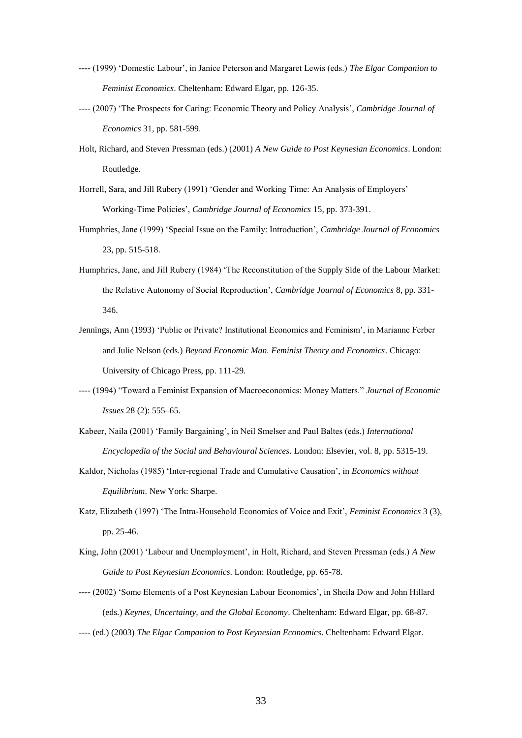- ---- (1999) 'Domestic Labour', in Janice Peterson and Margaret Lewis (eds.) *The Elgar Companion to Feminist Economics*. Cheltenham: Edward Elgar, pp. 126-35.
- ---- (2007) 'The Prospects for Caring: Economic Theory and Policy Analysis', *Cambridge Journal of Economics* 31, pp. 581-599.
- Holt, Richard, and Steven Pressman (eds.) (2001) *A New Guide to Post Keynesian Economics*. London: Routledge.
- Horrell, Sara, and Jill Rubery (1991) 'Gender and Working Time: An Analysis of Employers' Working-Time Policies', *Cambridge Journal of Economics* 15, pp. 373-391.
- Humphries, Jane (1999) 'Special Issue on the Family: Introduction', *Cambridge Journal of Economics* 23, pp. 515-518.
- Humphries, Jane, and Jill Rubery (1984) 'The Reconstitution of the Supply Side of the Labour Market: the Relative Autonomy of Social Reproduction', *Cambridge Journal of Economics* 8, pp. 331- 346.
- Jennings, Ann (1993) 'Public or Private? Institutional Economics and Feminism', in Marianne Ferber and Julie Nelson (eds.) *Beyond Economic Man. Feminist Theory and Economics*. Chicago: University of Chicago Press, pp. 111-29.
- ---- (1994) "Toward a Feminist Expansion of Macroeconomics: Money Matters." *Journal of Economic Issues* 28 (2): 555–65.
- Kabeer, Naila (2001) 'Family Bargaining', in Neil Smelser and Paul Baltes (eds.) *International Encyclopedia of the Social and Behavioural Sciences*. London: Elsevier, vol. 8, pp. 5315-19.
- Kaldor, Nicholas (1985) 'Inter-regional Trade and Cumulative Causation', in *Economics without Equilibrium*. New York: Sharpe.
- Katz, Elizabeth (1997) 'The Intra-Household Economics of Voice and Exit', *Feminist Economics* 3 (3), pp. 25-46.
- King, John (2001) 'Labour and Unemployment', in Holt, Richard, and Steven Pressman (eds.) *A New Guide to Post Keynesian Economics*. London: Routledge, pp. 65-78.
- ---- (2002) 'Some Elements of a Post Keynesian Labour Economics', in Sheila Dow and John Hillard (eds.) *Keynes, Uncertainty, and the Global Economy*. Cheltenham: Edward Elgar, pp. 68-87.
- ---- (ed.) (2003) *The Elgar Companion to Post Keynesian Economics*. Cheltenham: Edward Elgar.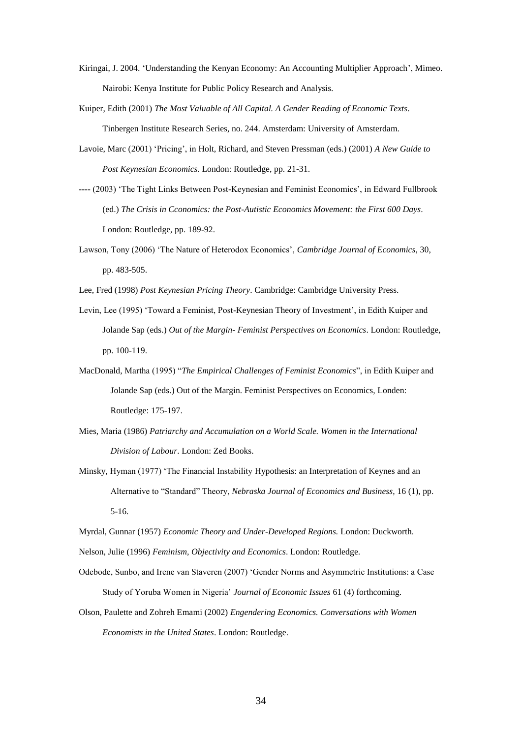- Kiringai, J. 2004. 'Understanding the Kenyan Economy: An Accounting Multiplier Approach', Mimeo. Nairobi: Kenya Institute for Public Policy Research and Analysis.
- Kuiper, Edith (2001) *The Most Valuable of All Capital. A Gender Reading of Economic Texts*. Tinbergen Institute Research Series, no. 244. Amsterdam: University of Amsterdam.
- Lavoie, Marc (2001) 'Pricing', in Holt, Richard, and Steven Pressman (eds.) (2001) *A New Guide to Post Keynesian Economics*. London: Routledge, pp. 21-31.
- ---- (2003) 'The Tight Links Between Post-Keynesian and Feminist Economics', in Edward Fullbrook (ed.) *The Crisis in Cconomics: the Post-Autistic Economics Movement: the First 600 Days*. London: Routledge, pp. 189-92.
- Lawson, Tony (2006) 'The Nature of Heterodox Economics', *Cambridge Journal of Economics*, 30, pp. 483-505.
- Lee, Fred (1998) *Post Keynesian Pricing Theory*. Cambridge: Cambridge University Press.
- Levin, Lee (1995) 'Toward a Feminist, Post-Keynesian Theory of Investment', in Edith Kuiper and Jolande Sap (eds.) *Out of the Margin- Feminist Perspectives on Economics*. London: Routledge, pp. 100-119.
- MacDonald, Martha (1995) "*The Empirical Challenges of Feminist Economics*", in Edith Kuiper and Jolande Sap (eds.) Out of the Margin. Feminist Perspectives on Economics, Londen: Routledge: 175-197.
- Mies, Maria (1986) *Patriarchy and Accumulation on a World Scale. Women in the International Division of Labour*. London: Zed Books.
- Minsky, Hyman (1977) 'The Financial Instability Hypothesis: an Interpretation of Keynes and an Alternative to "Standard" Theory, *Nebraska Journal of Economics and Business*, 16 (1), pp. 5-16.
- Myrdal, Gunnar (1957) *Economic Theory and Under-Developed Regions.* London: Duckworth.
- Nelson, Julie (1996) *Feminism, Objectivity and Economics*. London: Routledge.
- Odebode, Sunbo, and Irene van Staveren (2007) 'Gender Norms and Asymmetric Institutions: a Case Study of Yoruba Women in Nigeria' *Journal of Economic Issues* 61 (4) forthcoming.
- Olson, Paulette and Zohreh Emami (2002) *Engendering Economics. Conversations with Women Economists in the United States*. London: Routledge.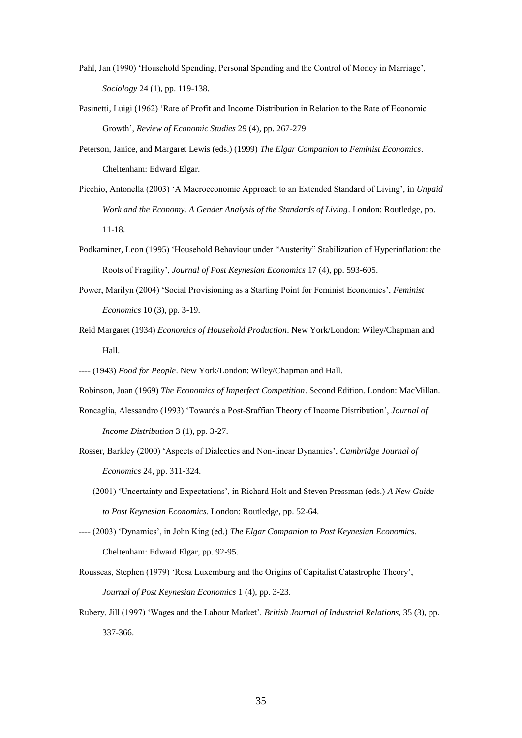- Pahl, Jan (1990) 'Household Spending, Personal Spending and the Control of Money in Marriage', *Sociology* 24 (1), pp. 119-138.
- Pasinetti, Luigi (1962) 'Rate of Profit and Income Distribution in Relation to the Rate of Economic Growth', *Review of Economic Studies* 29 (4), pp. 267-279.
- Peterson, Janice, and Margaret Lewis (eds.) (1999) *The Elgar Companion to Feminist Economics*. Cheltenham: Edward Elgar.
- Picchio, Antonella (2003) 'A Macroeconomic Approach to an Extended Standard of Living', in *Unpaid Work and the Economy. A Gender Analysis of the Standards of Living*. London: Routledge, pp. 11-18.
- Podkaminer, Leon (1995) 'Household Behaviour under "Austerity" Stabilization of Hyperinflation: the Roots of Fragility', *Journal of Post Keynesian Economics* 17 (4), pp. 593-605.
- Power, Marilyn (2004) 'Social Provisioning as a Starting Point for Feminist Economics', *Feminist Economics* 10 (3), pp. 3-19.
- Reid Margaret (1934) *Economics of Household Production*. New York/London: Wiley/Chapman and Hall.

---- (1943) *Food for People*. New York/London: Wiley/Chapman and Hall.

Robinson, Joan (1969) *The Economics of Imperfect Competition*. Second Edition. London: MacMillan.

- Roncaglia, Alessandro (1993) 'Towards a Post-Sraffian Theory of Income Distribution', *Journal of Income Distribution* 3 (1), pp. 3-27.
- Rosser, Barkley (2000) 'Aspects of Dialectics and Non-linear Dynamics', *Cambridge Journal of Economics* 24, pp. 311-324.
- ---- (2001) 'Uncertainty and Expectations', in Richard Holt and Steven Pressman (eds.) *A New Guide to Post Keynesian Economics*. London: Routledge, pp. 52-64.
- ---- (2003) 'Dynamics', in John King (ed.) *The Elgar Companion to Post Keynesian Economics*. Cheltenham: Edward Elgar, pp. 92-95.
- Rousseas, Stephen (1979) 'Rosa Luxemburg and the Origins of Capitalist Catastrophe Theory', *Journal of Post Keynesian Economics* 1 (4), pp. 3-23.
- Rubery, Jill (1997) 'Wages and the Labour Market', *British Journal of Industrial Relations*, 35 (3), pp. 337-366.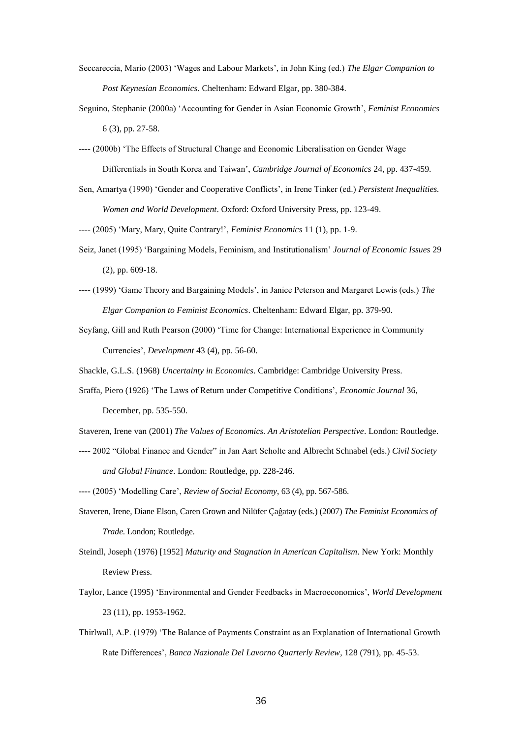- Seccareccia, Mario (2003) 'Wages and Labour Markets', in John King (ed.) *The Elgar Companion to Post Keynesian Economics*. Cheltenham: Edward Elgar, pp. 380-384.
- Seguino, Stephanie (2000a) 'Accounting for Gender in Asian Economic Growth', *Feminist Economics* 6 (3), pp. 27-58.
- ---- (2000b) 'The Effects of Structural Change and Economic Liberalisation on Gender Wage Differentials in South Korea and Taiwan', *Cambridge Journal of Economics* 24, pp. 437-459.
- Sen, Amartya (1990) 'Gender and Cooperative Conflicts', in Irene Tinker (ed.) *Persistent Inequalities. Women and World Development*. Oxford: Oxford University Press, pp. 123-49.

---- (2005) 'Mary, Mary, Quite Contrary!', *Feminist Economics* 11 (1), pp. 1-9.

- Seiz, Janet (1995) 'Bargaining Models, Feminism, and Institutionalism' *Journal of Economic Issues* 29 (2), pp. 609-18.
- ---- (1999) 'Game Theory and Bargaining Models', in Janice Peterson and Margaret Lewis (eds.) *The Elgar Companion to Feminist Economics*. Cheltenham: Edward Elgar, pp. 379-90.
- Seyfang, Gill and Ruth Pearson (2000) 'Time for Change: International Experience in Community Currencies', *Development* 43 (4), pp. 56-60.
- Shackle, G.L.S. (1968) *Uncertainty in Economics*. Cambridge: Cambridge University Press.
- Sraffa, Piero (1926) 'The Laws of Return under Competitive Conditions', *Economic Journal* 36, December, pp. 535-550.
- Staveren, Irene van (2001) *The Values of Economics. An Aristotelian Perspective*. London: Routledge.
- ---- 2002 "Global Finance and Gender" in Jan Aart Scholte and Albrecht Schnabel (eds.) *Civil Society and Global Finance*. London: Routledge, pp. 228-246.
- ---- (2005) 'Modelling Care', *Review of Social Economy*, 63 (4), pp. 567-586.
- Staveren, Irene, Diane Elson, Caren Grown and Nilüfer Çaĝatay (eds.) (2007) *The Feminist Economics of Trade*. London; Routledge.
- Steindl, Joseph (1976) [1952] *Maturity and Stagnation in American Capitalism*. New York: Monthly Review Press.
- Taylor, Lance (1995) 'Environmental and Gender Feedbacks in Macroeconomics', *World Development* 23 (11), pp. 1953-1962.
- Thirlwall, A.P. (1979) 'The Balance of Payments Constraint as an Explanation of International Growth Rate Differences', *Banca Nazionale Del Lavorno Quarterly Review*, 128 (791), pp. 45-53.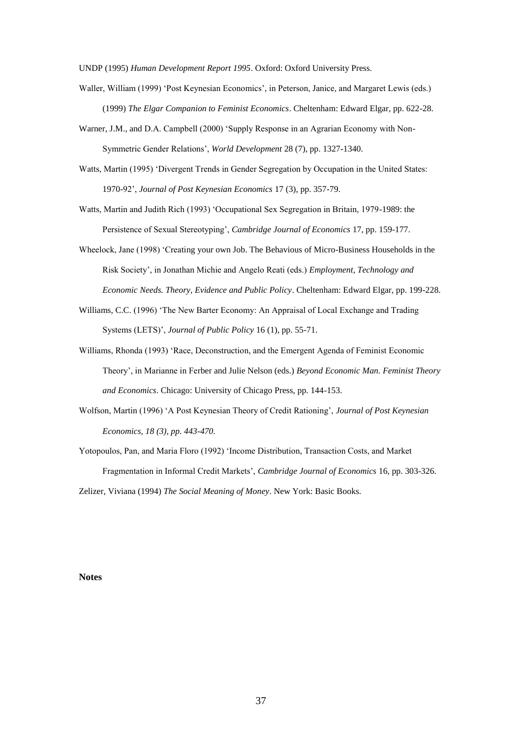UNDP (1995) *Human Development Report 1995*. Oxford: Oxford University Press.

- Waller, William (1999) 'Post Keynesian Economics', in Peterson, Janice, and Margaret Lewis (eds.) (1999) *The Elgar Companion to Feminist Economics*. Cheltenham: Edward Elgar, pp. 622-28.
- Warner, J.M., and D.A. Campbell (2000) 'Supply Response in an Agrarian Economy with Non-Symmetric Gender Relations', *World Development* 28 (7), pp. 1327-1340.
- Watts, Martin (1995) 'Divergent Trends in Gender Segregation by Occupation in the United States: 1970-92', *Journal of Post Keynesian Economics* 17 (3), pp. 357-79.

Watts, Martin and Judith Rich (1993) 'Occupational Sex Segregation in Britain, 1979-1989: the Persistence of Sexual Stereotyping', *Cambridge Journal of Economics* 17, pp. 159-177.

- Wheelock, Jane (1998) 'Creating your own Job. The Behavious of Micro-Business Households in the Risk Society', in Jonathan Michie and Angelo Reati (eds.) *Employment, Technology and Economic Needs. Theory, Evidence and Public Policy*. Cheltenham: Edward Elgar, pp. 199-228.
- Williams, C.C. (1996) 'The New Barter Economy: An Appraisal of Local Exchange and Trading Systems (LETS)', *Journal of Public Policy* 16 (1), pp. 55-71.
- Williams, Rhonda (1993) 'Race, Deconstruction, and the Emergent Agenda of Feminist Economic Theory', in Marianne in Ferber and Julie Nelson (eds.) *Beyond Economic Man. Feminist Theory and Economics*. Chicago: University of Chicago Press, pp. 144-153.
- Wolfson, Martin (1996) 'A Post Keynesian Theory of Credit Rationing', *Journal of Post Keynesian Economics, 18 (3), pp. 443-470.*

Yotopoulos, Pan, and Maria Floro (1992) 'Income Distribution, Transaction Costs, and Market Fragmentation in Informal Credit Markets', *Cambridge Journal of Economics* 16, pp. 303-326. Zelizer, Viviana (1994) *The Social Meaning of Money*. New York: Basic Books.

#### **Notes**